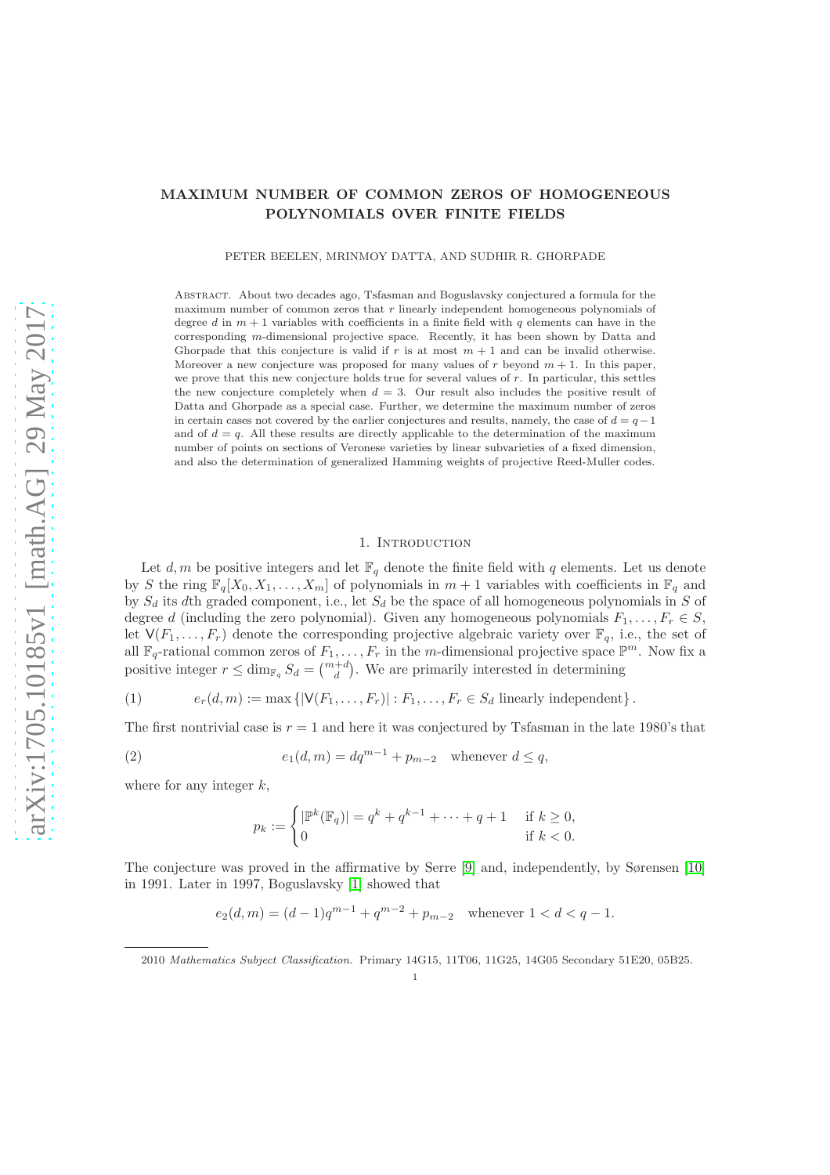## MAXIMUM NUMBER OF COMMON ZEROS OF HOMOGENEOUS POLYNOMIALS OVER FINITE FIELDS

PETER BEELEN, MRINMOY DATTA, AND SUDHIR R. GHORPADE

Abstract. About two decades ago, Tsfasman and Boguslavsky conjectured a formula for the maximum number of common zeros that  $r$  linearly independent homogeneous polynomials of degree d in  $m + 1$  variables with coefficients in a finite field with q elements can have in the corresponding m-dimensional projective space. Recently, it has been shown by Datta and Ghorpade that this conjecture is valid if r is at most  $m + 1$  and can be invalid otherwise. Moreover a new conjecture was proposed for many values of r beyond  $m + 1$ . In this paper, we prove that this new conjecture holds true for several values of r. In particular, this settles the new conjecture completely when  $d = 3$ . Our result also includes the positive result of Datta and Ghorpade as a special case. Further, we determine the maximum number of zeros in certain cases not covered by the earlier conjectures and results, namely, the case of  $d = q - 1$ and of  $d = q$ . All these results are directly applicable to the determination of the maximum number of points on sections of Veronese varieties by linear subvarieties of a fixed dimension, and also the determination of generalized Hamming weights of projective Reed-Muller codes.

## 1. INTRODUCTION

Let d, m be positive integers and let  $\mathbb{F}_q$  denote the finite field with q elements. Let us denote by S the ring  $\mathbb{F}_q[X_0, X_1, \ldots, X_m]$  of polynomials in  $m + 1$  variables with coefficients in  $\mathbb{F}_q$  and by  $S_d$  its dth graded component, i.e., let  $S_d$  be the space of all homogeneous polynomials in S of degree d (including the zero polynomial). Given any homogeneous polynomials  $F_1, \ldots, F_r \in S$ , let  $V(F_1, \ldots, F_r)$  denote the corresponding projective algebraic variety over  $\mathbb{F}_q$ , i.e., the set of all  $\mathbb{F}_q$ -rational common zeros of  $F_1, \ldots, F_r$  in the m-dimensional projective space  $\mathbb{P}^m$ . Now fix a positive integer  $r \le \dim_{\mathbb{F}_q} S_d = \binom{m+d}{d}$ . We are primarily interested in determining

<span id="page-0-0"></span>(1) 
$$
e_r(d,m) := \max\left\{ |\mathsf{V}(F_1,\ldots,F_r)| : F_1,\ldots,F_r \in S_d \text{ linearly independent} \right\}.
$$

The first nontrivial case is  $r = 1$  and here it was conjectured by Tsfasman in the late 1980's that

(2) 
$$
e_1(d,m) = dq^{m-1} + p_{m-2} \quad \text{whenever } d \leq q,
$$

where for any integer  $k$ ,

<span id="page-0-1"></span>
$$
p_k := \begin{cases} |\mathbb{P}^k(\mathbb{F}_q)| = q^k + q^{k-1} + \dots + q + 1 & \text{if } k \ge 0, \\ 0 & \text{if } k < 0. \end{cases}
$$

The conjecture was proved in the affirmative by Serre [\[9\]](#page-14-0) and, independently, by Sørensen [\[10\]](#page-14-1) in 1991. Later in 1997, Boguslavsky [\[1\]](#page-14-2) showed that

$$
e_2(d,m) = (d-1)q^{m-1} + q^{m-2} + p_{m-2} \quad \text{whenever } 1 < d < q-1.
$$

<sup>2010</sup> Mathematics Subject Classification. Primary 14G15, 11T06, 11G25, 14G05 Secondary 51E20, 05B25.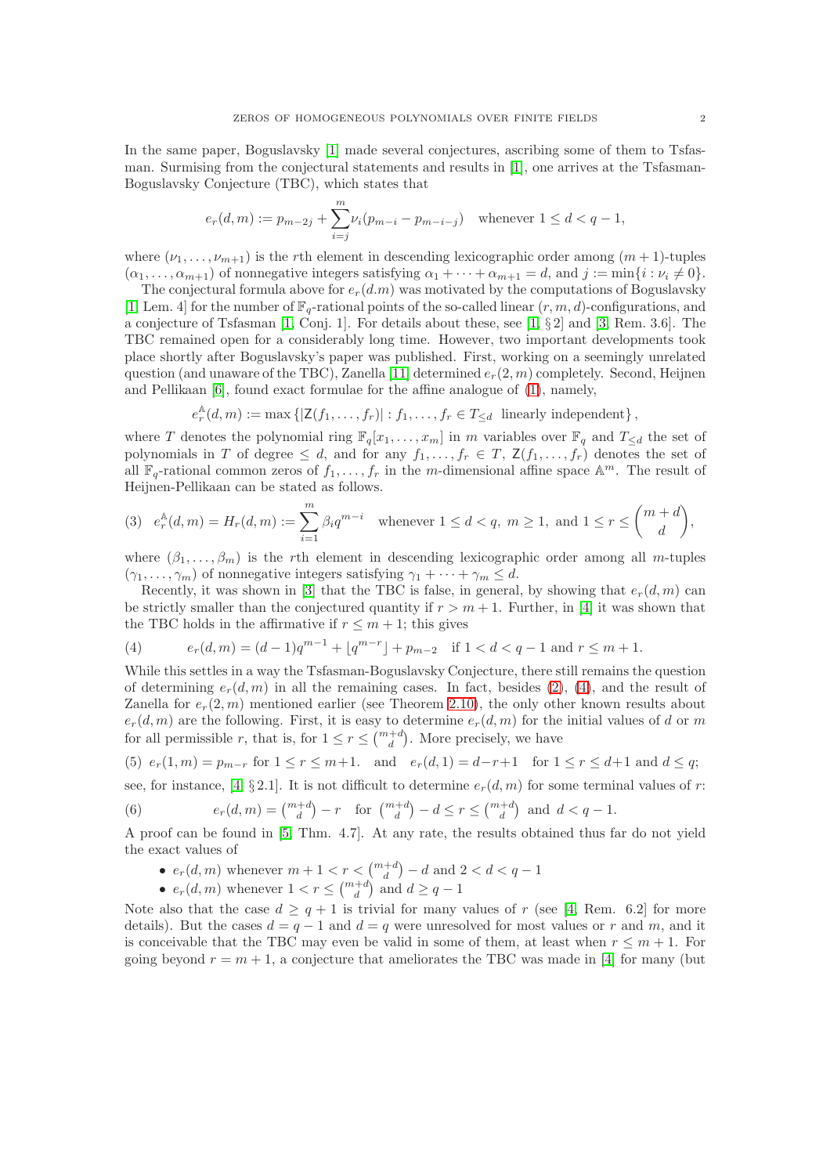In the same paper, Boguslavsky [\[1\]](#page-14-2) made several conjectures, ascribing some of them to Tsfasman. Surmising from the conjectural statements and results in [\[1\]](#page-14-2), one arrives at the Tsfasman-Boguslavsky Conjecture (TBC), which states that

$$
e_r(d,m) := p_{m-2j} + \sum_{i=j}^{m} \nu_i (p_{m-i} - p_{m-i-j}) \quad \text{whenever } 1 \le d < q-1,
$$

where  $(\nu_1, \ldots, \nu_{m+1})$  is the rth element in descending lexicographic order among  $(m+1)$ -tuples  $(\alpha_1, \ldots, \alpha_{m+1})$  of nonnegative integers satisfying  $\alpha_1 + \cdots + \alpha_{m+1} = d$ , and  $j := \min\{i : \nu_i \neq 0\}.$ 

The conjectural formula above for  $e_r(d,m)$  was motivated by the computations of Boguslavsky [\[1,](#page-14-2) Lem. 4] for the number of  $\mathbb{F}_q$ -rational points of the so-called linear  $(r, m, d)$ -configurations, and a conjecture of Tsfasman [\[1,](#page-14-2) Conj. 1]. For details about these, see [\[1,](#page-14-2) § 2] and [\[3,](#page-14-3) Rem. 3.6]. The TBC remained open for a considerably long time. However, two important developments took place shortly after Boguslavsky's paper was published. First, working on a seemingly unrelated question (and unaware of the TBC), Zanella [\[11\]](#page-14-4) determined  $e_r(2, m)$  completely. Second, Heijnen and Pellikaan [\[6\]](#page-14-5), found exact formulae for the affine analogue of [\(1\)](#page-0-0), namely,

$$
e_r^{\mathbb{A}}(d,m) := \max \left\{ |Z(f_1,\ldots,f_r)| : f_1,\ldots,f_r \in T_{\leq d} \text{ linearly independent} \right\},\
$$

where T denotes the polynomial ring  $\mathbb{F}_q[x_1,\ldots,x_m]$  in m variables over  $\mathbb{F}_q$  and  $T_{\leq d}$  the set of polynomials in T of degree  $\leq d$ , and for any  $f_1, \ldots, f_r \in T$ ,  $\mathsf{Z}(f_1, \ldots, f_r)$  denotes the set of all  $\mathbb{F}_q$ -rational common zeros of  $f_1, \ldots, f_r$  in the m-dimensional affine space  $\mathbb{A}^m$ . The result of Heijnen-Pellikaan can be stated as follows.

<span id="page-1-1"></span>
$$
(3) \quad e_r^{\mathbb{A}}(d,m) = H_r(d,m) := \sum_{i=1}^m \beta_i q^{m-i} \quad \text{whenever } 1 \le d < q, \ m \ge 1, \text{ and } 1 \le r \le \binom{m+d}{d},
$$

where  $(\beta_1, \ldots, \beta_m)$  is the rth element in descending lexicographic order among all m-tuples  $(\gamma_1, \ldots, \gamma_m)$  of nonnegative integers satisfying  $\gamma_1 + \cdots + \gamma_m \leq d$ .

Recently, it was shown in [\[3\]](#page-14-3) that the TBC is false, in general, by showing that  $e_r(d, m)$  can be strictly smaller than the conjectured quantity if  $r > m + 1$ . Further, in [\[4\]](#page-14-6) it was shown that the TBC holds in the affirmative if  $r \leq m + 1$ ; this gives

<span id="page-1-0"></span>(4) 
$$
e_r(d,m) = (d-1)q^{m-1} + \lfloor q^{m-r} \rfloor + p_{m-2} \quad \text{if } 1 < d < q-1 \text{ and } r \leq m+1.
$$

While this settles in a way the Tsfasman-Boguslavsky Conjecture, there still remains the question of determining  $e_r(d, m)$  in all the remaining cases. In fact, besides [\(2\)](#page-0-1), [\(4\)](#page-1-0), and the result of Zanella for  $e_r(2, m)$  mentioned earlier (see Theorem [2.10\)](#page-6-0), the only other known results about  $e_r(d,m)$  are the following. First, it is easy to determine  $e_r(d,m)$  for the initial values of d or m for all permissible r, that is, for  $1 \le r \le {m+d \choose d}$ . More precisely, we have

<span id="page-1-2"></span>
$$
(5) \ e_r(1,m) = p_{m-r} \text{ for } 1 \le r \le m+1. \quad \text{and} \quad e_r(d,1) = d-r+1 \quad \text{for } 1 \le r \le d+1 \text{ and } d \le q;
$$

see, for instance, [\[4,](#page-14-6) § 2.1]. It is not difficult to determine  $e_r(d, m)$  for some terminal values of r:

(6) 
$$
e_r(d,m) = \binom{m+d}{d} - r
$$
 for  $\binom{m+d}{d} - d \le r \le \binom{m+d}{d}$  and  $d < q - 1$ .

A proof can be found in [\[5,](#page-14-7) Thm. 4.7]. At any rate, the results obtained thus far do not yield the exact values of

- $e_r(d, m)$  whenever  $m + 1 < r < \binom{m+d}{d} d$  and  $2 < d < q 1$
- $e_r(d, m)$  whenever  $1 < r \leq {m+d \choose d}$  and  $d \geq q-1$

Note also that the case  $d \geq q+1$  is trivial for many values of r (see [\[4,](#page-14-6) Rem. 6.2] for more details). But the cases  $d = q - 1$  and  $d = q$  were unresolved for most values or r and m, and it is conceivable that the TBC may even be valid in some of them, at least when  $r \leq m+1$ . For going beyond  $r = m + 1$ , a conjecture that ameliorates the TBC was made in [\[4\]](#page-14-6) for many (but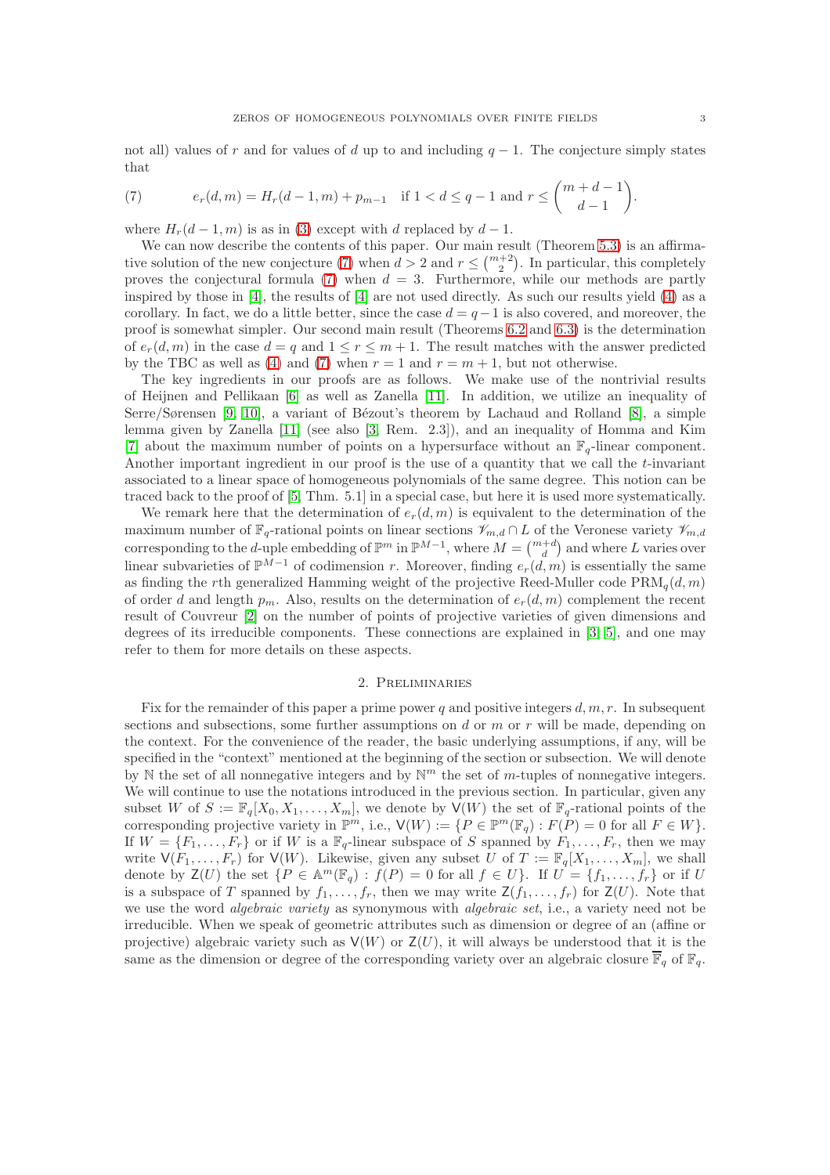not all) values of r and for values of d up to and including  $q - 1$ . The conjecture simply states that

<span id="page-2-0"></span>(7) 
$$
e_r(d,m) = H_r(d-1,m) + p_{m-1} \text{ if } 1 < d \le q-1 \text{ and } r \le {m+d-1 \choose d-1}
$$

where  $H_r(d-1,m)$  is as in [\(3\)](#page-1-1) except with d replaced by  $d-1$ .

We can now describe the contents of this paper. Our main result (Theorem [5.3\)](#page-11-0) is an affirma-tive solution of the new conjecture [\(7\)](#page-2-0) when  $d > 2$  and  $r \leq {m+2 \choose 2}$ . In particular, this completely proves the conjectural formula [\(7\)](#page-2-0) when  $d = 3$ . Furthermore, while our methods are partly inspired by those in [\[4\]](#page-14-6), the results of [\[4\]](#page-14-6) are not used directly. As such our results yield [\(4\)](#page-1-0) as a corollary. In fact, we do a little better, since the case  $d = q - 1$  is also covered, and moreover, the proof is somewhat simpler. Our second main result (Theorems [6.2](#page-12-0) and [6.3\)](#page-13-0) is the determination of  $e_r(d, m)$  in the case  $d = q$  and  $1 \leq r \leq m + 1$ . The result matches with the answer predicted by the TBC as well as [\(4\)](#page-1-0) and [\(7\)](#page-2-0) when  $r = 1$  and  $r = m + 1$ , but not otherwise.

The key ingredients in our proofs are as follows. We make use of the nontrivial results of Heijnen and Pellikaan [\[6\]](#page-14-5) as well as Zanella [\[11\]](#page-14-4). In addition, we utilize an inequality of Serre/Sørensen [\[9,](#page-14-0) [10\]](#page-14-1), a variant of Bézout's theorem by Lachaud and Rolland  $[8]$ , a simple lemma given by Zanella [\[11\]](#page-14-4) (see also [\[3,](#page-14-3) Rem. 2.3]), and an inequality of Homma and Kim [\[7\]](#page-14-9) about the maximum number of points on a hypersurface without an  $\mathbb{F}_q$ -linear component. Another important ingredient in our proof is the use of a quantity that we call the t-invariant associated to a linear space of homogeneous polynomials of the same degree. This notion can be traced back to the proof of [\[5,](#page-14-7) Thm. 5.1] in a special case, but here it is used more systematically.

We remark here that the determination of  $e_r(d, m)$  is equivalent to the determination of the maximum number of  $\mathbb{F}_q$ -rational points on linear sections  $\mathcal{V}_{m,d} \cap L$  of the Veronese variety  $\mathcal{V}_{m,d}$ corresponding to the *d*-uple embedding of  $\mathbb{P}^m$  in  $\mathbb{P}^{M-1}$ , where  $M = \binom{m+d}{d}$  and where L varies over linear subvarieties of  $\mathbb{P}^{\bar{M}-1}$  of codimension r. Moreover, finding  $e_r(d, m)$  is essentially the same as finding the rth generalized Hamming weight of the projective Reed-Muller code  $\text{PRM}_q(d,m)$ of order d and length  $p_m$ . Also, results on the determination of  $e_r(d, m)$  complement the recent result of Couvreur [\[2\]](#page-14-10) on the number of points of projective varieties of given dimensions and degrees of its irreducible components. These connections are explained in [\[3,](#page-14-3) [5\]](#page-14-7), and one may refer to them for more details on these aspects.

## 2. Preliminaries

<span id="page-2-1"></span>Fix for the remainder of this paper a prime power q and positive integers  $d, m, r$ . In subsequent sections and subsections, some further assumptions on  $d$  or  $m$  or  $r$  will be made, depending on the context. For the convenience of the reader, the basic underlying assumptions, if any, will be specified in the "context" mentioned at the beginning of the section or subsection. We will denote by  $\mathbb N$  the set of all nonnegative integers and by  $\mathbb N^m$  the set of m-tuples of nonnegative integers. We will continue to use the notations introduced in the previous section. In particular, given any subset W of  $S := \mathbb{F}_q[X_0, X_1, \ldots, X_m]$ , we denote by  $\mathsf{V}(W)$  the set of  $\mathbb{F}_q$ -rational points of the corresponding projective variety in  $\mathbb{P}^m$ , i.e.,  $\mathsf{V}(W) := \{P \in \mathbb{P}^m(\mathbb{F}_q) : F(P) = 0 \text{ for all } F \in W\}.$ If  $W = \{F_1, \ldots, F_r\}$  or if W is a  $\mathbb{F}_q$ -linear subspace of S spanned by  $F_1, \ldots, F_r$ , then we may write  $\mathsf{V}(F_1,\ldots,F_r)$  for  $\mathsf{V}(W)$ . Likewise, given any subset U of  $T := \mathbb{F}_q[X_1,\ldots,X_m]$ , we shall denote by  $\mathsf{Z}(U)$  the set  $\{P \in \mathbb{A}^m(\mathbb{F}_q) : f(P) = 0 \text{ for all } f \in U\}$ . If  $U = \{f_1, \ldots, f_r\}$  or if U is a subspace of T spanned by  $f_1, \ldots, f_r$ , then we may write  $\mathsf{Z}(f_1, \ldots, f_r)$  for  $\mathsf{Z}(U)$ . Note that we use the word *algebraic variety* as synonymous with *algebraic set*, i.e., a variety need not be irreducible. When we speak of geometric attributes such as dimension or degree of an (affine or projective) algebraic variety such as  $V(W)$  or  $Z(U)$ , it will always be understood that it is the same as the dimension or degree of the corresponding variety over an algebraic closure  $\overline{\mathbb{F}}_q$  of  $\mathbb{F}_q$ .

.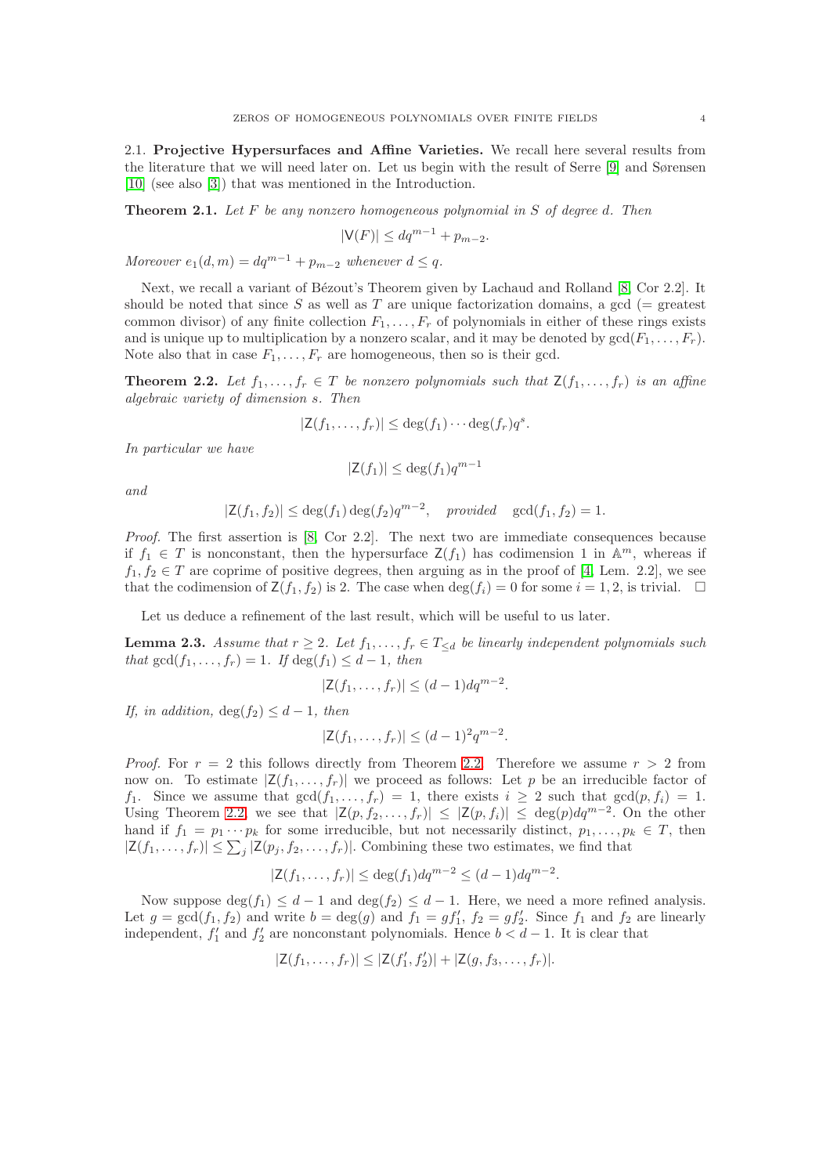2.1. Projective Hypersurfaces and Affine Varieties. We recall here several results from the literature that we will need later on. Let us begin with the result of Serre [\[9\]](#page-14-0) and Sørensen [\[10\]](#page-14-1) (see also [\[3\]](#page-14-3)) that was mentioned in the Introduction.

<span id="page-3-1"></span>**Theorem 2.1.** Let F be any nonzero homogeneous polynomial in S of degree d. Then

$$
|\mathsf{V}(F)| \le dq^{m-1} + p_{m-2}.
$$

Moreover  $e_1(d, m) = dq^{m-1} + p_{m-2}$  whenever  $d \leq q$ .

Next, we recall a variant of Bézout's Theorem given by Lachaud and Rolland [\[8,](#page-14-8) Cor 2.2]. It should be noted that since S as well as T are unique factorization domains, a gcd ( $=$  greatest common divisor) of any finite collection  $F_1, \ldots, F_r$  of polynomials in either of these rings exists and is unique up to multiplication by a nonzero scalar, and it may be denoted by  $gcd(F_1, \ldots, F_r)$ . Note also that in case  $F_1, \ldots, F_r$  are homogeneous, then so is their gcd.

<span id="page-3-0"></span>**Theorem 2.2.** Let  $f_1, \ldots, f_r \in T$  be nonzero polynomials such that  $\mathsf{Z}(f_1, \ldots, f_r)$  is an affine algebraic variety of dimension s. Then

$$
|\mathsf{Z}(f_1,\ldots,f_r)| \leq \deg(f_1)\cdots \deg(f_r)q^s.
$$

In particular we have

$$
|\mathsf{Z}(f_1)| \le \deg(f_1)q^{m-1}
$$

and

$$
|\mathsf{Z}(f_1,f_2)| \le \deg(f_1) \deg(f_2) q^{m-2}, \quad provided \quad \gcd(f_1,f_2) = 1.
$$

Proof. The first assertion is [\[8,](#page-14-8) Cor 2.2]. The next two are immediate consequences because if  $f_1 \in T$  is nonconstant, then the hypersurface  $\mathsf{Z}(f_1)$  has codimension 1 in  $\mathbb{A}^m$ , whereas if  $f_1, f_2 \in T$  are coprime of positive degrees, then arguing as in the proof of [\[4,](#page-14-6) Lem. 2.2], we see that the codimension of  $\mathsf{Z}(f_1, f_2)$  is 2. The case when  $\deg(f_i) = 0$  for some  $i = 1, 2$ , is trivial.  $\Box$ 

Let us deduce a refinement of the last result, which will be useful to us later.

<span id="page-3-2"></span>**Lemma 2.3.** Assume that  $r \geq 2$ . Let  $f_1, \ldots, f_r \in T_{\leq d}$  be linearly independent polynomials such that  $gcd(f_1, \ldots, f_r) = 1$ . If  $deg(f_1) \leq d-1$ , then

$$
|\mathsf{Z}(f_1,\ldots,f_r)| \leq (d-1)dq^{m-2}.
$$

If, in addition,  $\deg(f_2) \leq d-1$ , then

$$
|\mathsf{Z}(f_1,\ldots,f_r)| \leq (d-1)^2 q^{m-2}.
$$

*Proof.* For  $r = 2$  this follows directly from Theorem [2.2.](#page-3-0) Therefore we assume  $r > 2$  from now on. To estimate  $|Z(f_1, \ldots, f_r)|$  we proceed as follows: Let p be an irreducible factor of  $f_1$ . Since we assume that  $gcd(f_1, \ldots, f_r) = 1$ , there exists  $i \geq 2$  such that  $gcd(p, f_i) = 1$ . Using Theorem [2.2,](#page-3-0) we see that  $|\mathsf{Z}(p, f_2, \ldots, f_r)| \leq |\mathsf{Z}(p, f_i)| \leq \deg(p) dq^{m-2}$ . On the other hand if  $f_1 = p_1 \cdots p_k$  for some irreducible, but not necessarily distinct,  $p_1, \ldots, p_k \in T$ , then  $|\mathsf{Z}(f_1,\ldots,f_r)| \leq \sum_j |\mathsf{Z}(p_j,f_2,\ldots,f_r)|$ . Combining these two estimates, we find that

$$
|\mathsf{Z}(f_1,\ldots,f_r)| \le \deg(f_1)dq^{m-2} \le (d-1)dq^{m-2}.
$$

Now suppose  $\deg(f_1) \leq d-1$  and  $\deg(f_2) \leq d-1$ . Here, we need a more refined analysis. Let  $g = \gcd(f_1, f_2)$  and write  $b = \deg(g)$  and  $f_1 = gf'_1$ ,  $f_2 = gf'_2$ . Since  $f_1$  and  $f_2$  are linearly independent,  $f'_1$  and  $f'_2$  are nonconstant polynomials. Hence  $b < d - 1$ . It is clear that

$$
|Z(f_1,\ldots,f_r)| \leq |Z(f'_1,f'_2)| + |Z(g,f_3,\ldots,f_r)|.
$$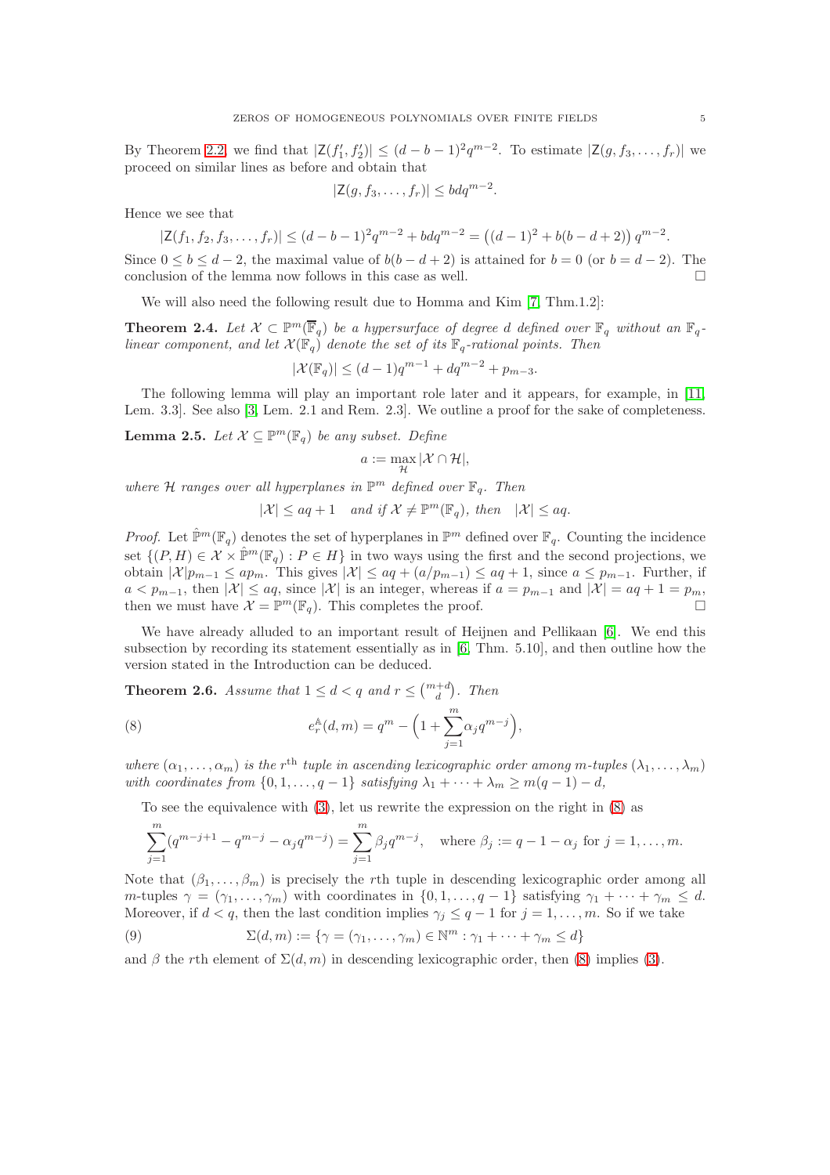By Theorem [2.2,](#page-3-0) we find that  $|\mathsf{Z}(f_1', f_2')| \leq (d-b-1)^2 q^{m-2}$ . To estimate  $|\mathsf{Z}(g, f_3, \ldots, f_r)|$  we proceed on similar lines as before and obtain that

$$
|\mathsf{Z}(g, f_3, \dots, f_r)| \leq b dq^{m-2}.
$$

Hence we see that

$$
|\mathsf{Z}(f_1, f_2, f_3, \dots, f_r)| \le (d - b - 1)^2 q^{m-2} + bd q^{m-2} = ((d - 1)^2 + b(b - d + 2)) q^{m-2}.
$$

Since  $0 \le b \le d-2$ , the maximal value of  $b(b-d+2)$  is attained for  $b=0$  (or  $b=d-2$ ). The conclusion of the lemma now follows in this case as well.  $\Box$ 

We will also need the following result due to Homma and Kim [\[7,](#page-14-9) Thm.1.2]:

<span id="page-4-2"></span>**Theorem 2.4.** Let  $X \subset \mathbb{P}^m(\overline{\mathbb{F}}_q)$  be a hypersurface of degree d defined over  $\mathbb{F}_q$  without an  $\mathbb{F}_q$ linear component, and let  $\mathcal{X}(\mathbb{F}_q)$  denote the set of its  $\mathbb{F}_q$ -rational points. Then

$$
|\mathcal{X}(\mathbb{F}_q)| \le (d-1)q^{m-1} + dq^{m-2} + p_{m-3}.
$$

The following lemma will play an important role later and it appears, for example, in [\[11,](#page-14-4) Lem. 3.3]. See also [\[3,](#page-14-3) Lem. 2.1 and Rem. 2.3]. We outline a proof for the sake of completeness.

<span id="page-4-3"></span>**Lemma 2.5.** Let  $\mathcal{X} \subseteq \mathbb{P}^m(\mathbb{F}_q)$  be any subset. Define

$$
a := \max_{\mathcal{H}} |\mathcal{X} \cap \mathcal{H}|,
$$

where H ranges over all hyperplanes in  $\mathbb{P}^m$  defined over  $\mathbb{F}_q$ . Then

$$
|\mathcal{X}| \le aq + 1 \quad and \text{ if } \mathcal{X} \neq \mathbb{P}^m(\mathbb{F}_q), \text{ then } |\mathcal{X}| \le aq.
$$

*Proof.* Let  $\hat{\mathbb{P}}^m(\mathbb{F}_q)$  denotes the set of hyperplanes in  $\mathbb{P}^m$  defined over  $\mathbb{F}_q$ . Counting the incidence set  $\{(P, H) \in \mathcal{X} \times \hat{\mathbb{P}}^m(\mathbb{F}_q) : P \in H\}$  in two ways using the first and the second projections, we obtain  $|\mathcal{X}|p_{m-1} \leq ap_m$ . This gives  $|\mathcal{X}| \leq aq + (a/p_{m-1}) \leq aq+1$ , since  $a \leq p_{m-1}$ . Further, if  $a < p_{m-1}$ , then  $|\mathcal{X}| \le aq$ , since  $|\mathcal{X}|$  is an integer, whereas if  $a = p_{m-1}$  and  $|\mathcal{X}| = aq + 1 = p_m$ , then we must have  $\mathcal{X} = \mathbb{P}^m(\mathbb{F}_q)$ . This completes the proof.

We have already alluded to an important result of Heijnen and Pellikaan [\[6\]](#page-14-5). We end this subsection by recording its statement essentially as in [\[6,](#page-14-5) Thm. 5.10], and then outline how the version stated in the Introduction can be deduced.

**Theorem 2.6.** Assume that  $1 \leq d < q$  and  $r \leq {m+d \choose d}$ . Then

<span id="page-4-0"></span>(8) 
$$
e_r^{\mathbb{A}}(d,m) = q^m - \left(1 + \sum_{j=1}^m \alpha_j q^{m-j}\right),
$$

where  $(\alpha_1,\ldots,\alpha_m)$  is the r<sup>th</sup> tuple in ascending lexicographic order among m-tuples  $(\lambda_1,\ldots,\lambda_m)$ with coordinates from  $\{0, 1, \ldots, q-1\}$  satisfying  $\lambda_1 + \cdots + \lambda_m \geq m(q-1) - d$ ,

To see the equivalence with [\(3\)](#page-1-1), let us rewrite the expression on the right in [\(8\)](#page-4-0) as

$$
\sum_{j=1}^{m} (q^{m-j+1} - q^{m-j} - \alpha_j q^{m-j}) = \sum_{j=1}^{m} \beta_j q^{m-j}, \text{ where } \beta_j := q - 1 - \alpha_j \text{ for } j = 1, \dots, m.
$$

Note that  $(\beta_1, \ldots, \beta_m)$  is precisely the rth tuple in descending lexicographic order among all m-tuples  $\gamma = (\gamma_1, \ldots, \gamma_m)$  with coordinates in  $\{0, 1, \ldots, q-1\}$  satisfying  $\gamma_1 + \cdots + \gamma_m \leq d$ . Moreover, if  $d < q$ , then the last condition implies  $\gamma_j \leq q-1$  for  $j = 1, \ldots, m$ . So if we take

<span id="page-4-1"></span>(9) 
$$
\Sigma(d,m) := \{ \gamma = (\gamma_1, \ldots, \gamma_m) \in \mathbb{N}^m : \gamma_1 + \cdots + \gamma_m \leq d \}
$$

and β the rth element of  $\Sigma(d, m)$  in descending lexicographic order, then [\(8\)](#page-4-0) implies [\(3\)](#page-1-1).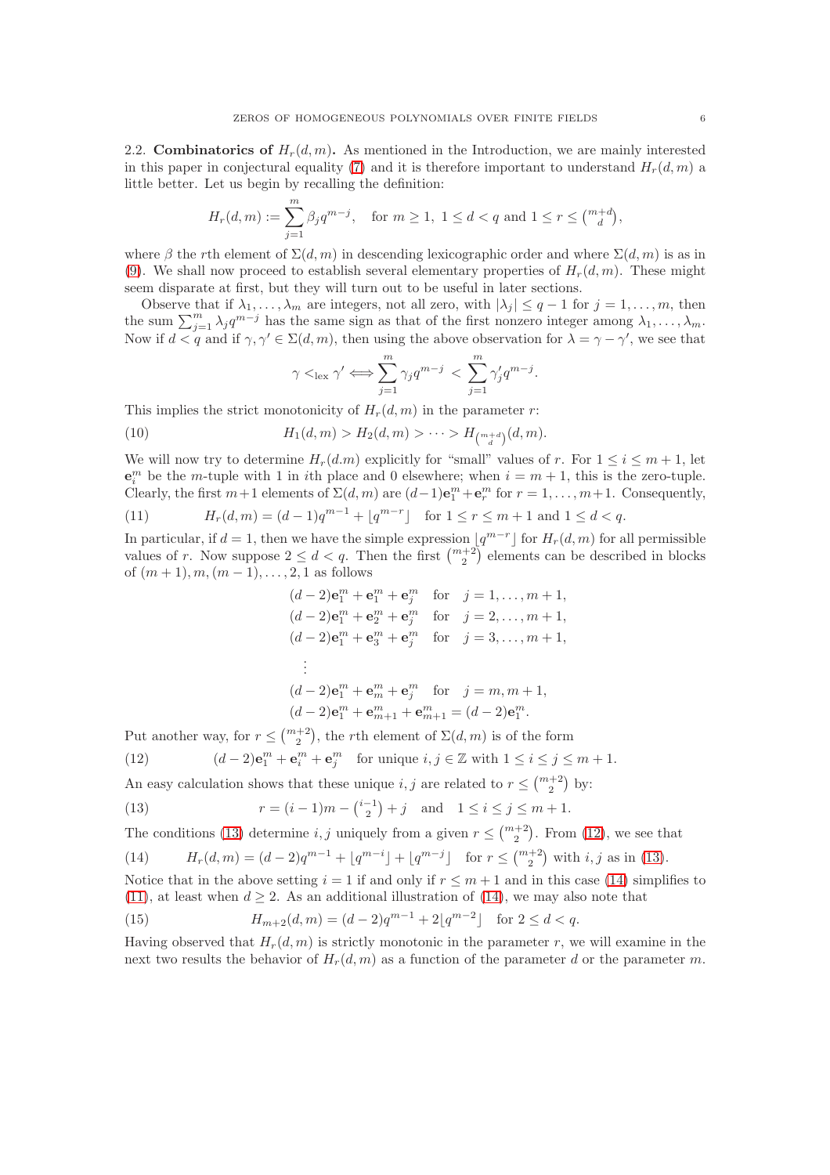2.2. Combinatorics of  $H_r(d,m)$ . As mentioned in the Introduction, we are mainly interested in this paper in conjectural equality [\(7\)](#page-2-0) and it is therefore important to understand  $H_r(d, m)$  a little better. Let us begin by recalling the definition:

$$
H_r(d,m) := \sum_{j=1}^m \beta_j q^{m-j}, \quad \text{for } m \ge 1, \ 1 \le d < q \text{ and } 1 \le r \le \binom{m+d}{d},
$$

where β the rth element of  $\Sigma(d, m)$  in descending lexicographic order and where  $\Sigma(d, m)$  is as in [\(9\)](#page-4-1). We shall now proceed to establish several elementary properties of  $H_r(d,m)$ . These might seem disparate at first, but they will turn out to be useful in later sections.

Observe that if  $\lambda_1, \ldots, \lambda_m$  are integers, not all zero, with  $|\lambda_j| \leq q-1$  for  $j = 1, \ldots, m$ , then the sum  $\sum_{j=1}^{m} \lambda_j q^{m-j}$  has the same sign as that of the first nonzero integer among  $\lambda_1, \ldots, \lambda_m$ . Now if  $d < q$  and if  $\gamma, \gamma' \in \Sigma(d, m)$ , then using the above observation for  $\lambda = \gamma - \gamma'$ , we see that

<span id="page-5-4"></span>
$$
\gamma <_{\text{lex}} \gamma' \Longleftrightarrow \sum_{j=1}^{m} \gamma_j q^{m-j} < \sum_{j=1}^{m} \gamma'_j q^{m-j}.
$$

This implies the strict monotonicity of  $H_r(d, m)$  in the parameter r:

(10) 
$$
H_1(d,m) > H_2(d,m) > \cdots > H_{\binom{m+d}{d}}(d,m).
$$

We will now try to determine  $H_r(d,m)$  explicitly for "small" values of r. For  $1 \le i \le m+1$ , let  $\mathbf{e}_i^m$  be the *m*-tuple with 1 in *i*th place and 0 elsewhere; when  $i = m + 1$ , this is the zero-tuple. Clearly, the first  $m+1$  elements of  $\Sigma(d,m)$  are  $(d-1)\mathbf{e}_1^m + \mathbf{e}_r^m$  for  $r = 1, \ldots, m+1$ . Consequently,

<span id="page-5-3"></span>(11) 
$$
H_r(d,m) = (d-1)q^{m-1} + \lfloor q^{m-r} \rfloor \text{ for } 1 \le r \le m+1 \text{ and } 1 \le d < q.
$$

In particular, if  $d = 1$ , then we have the simple expression  $\lfloor q^{m-r} \rfloor$  for  $H_r(d,m)$  for all permissible values of r. Now suppose  $2 \leq d < q$ . Then the first  $\binom{m+2}{2}$  elements can be described in blocks of  $(m + 1), m, (m - 1), \ldots, 2, 1$  as follows

$$
(d-2)\mathbf{e}_{1}^{m} + \mathbf{e}_{1}^{m} + \mathbf{e}_{j}^{m} \quad \text{for} \quad j = 1, ..., m+1,
$$
  
\n
$$
(d-2)\mathbf{e}_{1}^{m} + \mathbf{e}_{2}^{m} + \mathbf{e}_{j}^{m} \quad \text{for} \quad j = 2, ..., m+1,
$$
  
\n
$$
(d-2)\mathbf{e}_{1}^{m} + \mathbf{e}_{3}^{m} + \mathbf{e}_{j}^{m} \quad \text{for} \quad j = 3, ..., m+1,
$$
  
\n
$$
\vdots
$$
  
\n
$$
(d-2)\mathbf{e}_{1}^{m} + \mathbf{e}_{m}^{m} + \mathbf{e}_{j}^{m} \quad \text{for} \quad j = m, m+1,
$$
  
\n
$$
(d-2)\mathbf{e}_{1}^{m} + \mathbf{e}_{m+1}^{m} + \mathbf{e}_{m+1}^{m} = (d-2)\mathbf{e}_{1}^{m}.
$$

Put another way, for  $r \leq {m+2 \choose 2}$ , the rth element of  $\Sigma(d,m)$  is of the form

<span id="page-5-1"></span>(12) 
$$
(d-2)\mathbf{e}_1^m + \mathbf{e}_i^m + \mathbf{e}_j^m \quad \text{for unique } i, j \in \mathbb{Z} \text{ with } 1 \le i \le j \le m+1.
$$

An easy calculation shows that these unique  $i, j$  are related to  $r \leq \binom{m+2}{2}$  by:

<span id="page-5-0"></span>(13) 
$$
r = (i-1)m - {i-1 \choose 2} + j \text{ and } 1 \le i \le j \le m+1.
$$

The conditions [\(13\)](#page-5-0) determine *i*, *j* uniquely from a given  $r \leq \binom{m+2}{2}$ . From [\(12\)](#page-5-1), we see that

<span id="page-5-2"></span>(14) 
$$
H_r(d,m) = (d-2)q^{m-1} + \lfloor q^{m-i} \rfloor + \lfloor q^{m-j} \rfloor \text{ for } r \leq {m+2 \choose 2} \text{ with } i, j \text{ as in (13)}.
$$

Notice that in the above setting  $i = 1$  if and only if  $r \leq m + 1$  and in this case [\(14\)](#page-5-2) simplifies to [\(11\)](#page-5-3), at least when  $d \geq 2$ . As an additional illustration of [\(14\)](#page-5-2), we may also note that

<span id="page-5-5"></span>(15) 
$$
H_{m+2}(d,m) = (d-2)q^{m-1} + 2\lfloor q^{m-2} \rfloor \text{ for } 2 \le d < q.
$$

Having observed that  $H_r(d, m)$  is strictly monotonic in the parameter r, we will examine in the next two results the behavior of  $H_r(d,m)$  as a function of the parameter d or the parameter m.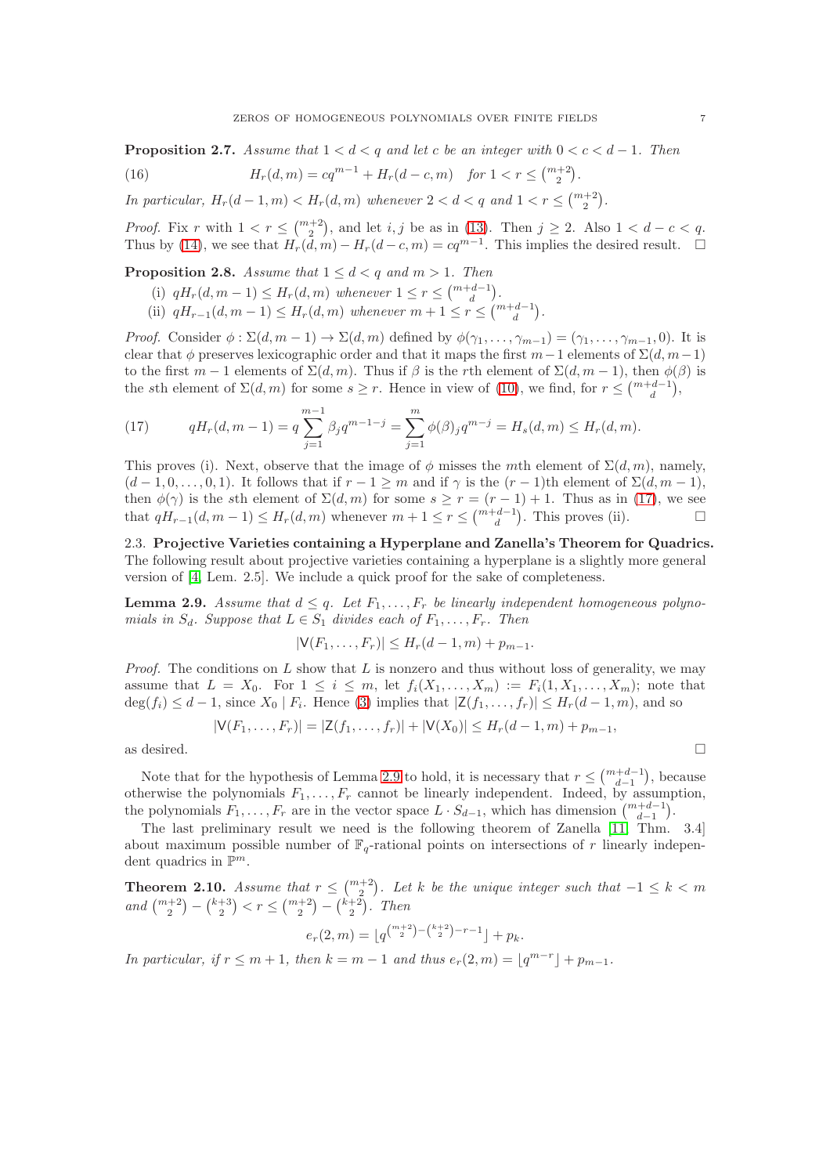**Proposition 2.7.** Assume that  $1 < d < q$  and let c be an integer with  $0 < c < d-1$ . Then

<span id="page-6-3"></span>(16) 
$$
H_r(d,m) = cq^{m-1} + H_r(d-c,m) \text{ for } 1 < r \leq {m+2 \choose 2}.
$$

In particular,  $H_r(d-1,m) < H_r(d,m)$  whenever  $2 < d < q$  and  $1 < r \leq {m+2 \choose 2}$ .

*Proof.* Fix r with  $1 < r \leq {m+2 \choose 2}$ , and let i, j be as in [\(13\)](#page-5-0). Then  $j \geq 2$ . Also  $1 < d-c < q$ . Thus by [\(14\)](#page-5-2), we see that  $H_r(d, m) - H_r(d - c, m) = cq^{m-1}$ . This implies the desired result.  $\square$ 

<span id="page-6-4"></span>**Proposition 2.8.** Assume that  $1 \leq d < q$  and  $m > 1$ . Then

- (i)  $qH_r(d, m 1) \le H_r(d, m)$  whenever  $1 \le r \le {m+d-1 \choose d}$ .
- (ii)  $qH_{r-1}(d, m-1) \le H_r(d, m)$  whenever  $m + 1 \le r \le {m+d-1 \choose d}$ .

*Proof.* Consider  $\phi : \Sigma(d, m-1) \to \Sigma(d, m)$  defined by  $\phi(\gamma_1, \ldots, \gamma_{m-1}) = (\gamma_1, \ldots, \gamma_{m-1}, 0)$ . It is clear that  $\phi$  preserves lexicographic order and that it maps the first m-1 elements of  $\Sigma(d, m-1)$ to the first  $m-1$  elements of  $\Sigma(d,m)$ . Thus if  $\beta$  is the rth element of  $\Sigma(d,m-1)$ , then  $\phi(\beta)$  is the sth element of  $\Sigma(d, m)$  for some  $s \geq r$ . Hence in view of [\(10\)](#page-5-4), we find, for  $r \leq {m+d-1 \choose d}$ ,

<span id="page-6-1"></span>(17) 
$$
qH_r(d,m-1) = q \sum_{j=1}^{m-1} \beta_j q^{m-1-j} = \sum_{j=1}^m \phi(\beta)_j q^{m-j} = H_s(d,m) \le H_r(d,m).
$$

This proves (i). Next, observe that the image of  $\phi$  misses the mth element of  $\Sigma(d, m)$ , namely,  $(d-1, 0, \ldots, 0, 1)$ . It follows that if  $r-1 \geq m$  and if  $\gamma$  is the  $(r-1)$ th element of  $\Sigma(d, m-1)$ , then  $\phi(\gamma)$  is the sth element of  $\Sigma(d, m)$  for some  $s \geq r = (r - 1) + 1$ . Thus as in [\(17\)](#page-6-1), we see that  $qH_{r-1}(d, m-1) \le H_r(d,m)$  whenever  $m+1 \le r \le {m+d-1 \choose d}$ . This proves (ii).

2.3. Projective Varieties containing a Hyperplane and Zanella's Theorem for Quadrics. The following result about projective varieties containing a hyperplane is a slightly more general version of [\[4,](#page-14-6) Lem. 2.5]. We include a quick proof for the sake of completeness.

<span id="page-6-2"></span>**Lemma 2.9.** Assume that  $d \leq q$ . Let  $F_1, \ldots, F_r$  be linearly independent homogeneous polynomials in  $S_d$ . Suppose that  $L \in S_1$  divides each of  $F_1, \ldots, F_r$ . Then

$$
|\mathsf{V}(F_1,\ldots,F_r)| \leq H_r(d-1,m) + p_{m-1}.
$$

*Proof.* The conditions on L show that L is nonzero and thus without loss of generality, we may assume that  $L = X_0$ . For  $1 \leq i \leq m$ , let  $f_i(X_1, \ldots, X_m) := F_i(1, X_1, \ldots, X_m)$ ; note that  $\deg(f_i) \leq d-1$ , since  $X_0 | F_i$ . Hence [\(3\)](#page-1-1) implies that  $|\mathsf{Z}(f_1,\ldots,f_r)| \leq H_r(d-1,m)$ , and so

$$
|\mathsf{V}(F_1,\ldots,F_r)|=|\mathsf{Z}(f_1,\ldots,f_r)|+|\mathsf{V}(X_0)|\leq H_r(d-1,m)+p_{m-1},
$$

as desired.  $\Box$ 

Note that for the hypothesis of Lemma [2.9](#page-6-2) to hold, it is necessary that  $r \leq {m+d-1 \choose d-1}$ , because otherwise the polynomials  $F_1, \ldots, F_r$  cannot be linearly independent. Indeed, by assumption, the polynomials  $F_1, \ldots, F_r$  are in the vector space  $L \cdot S_{d-1}$ , which has dimension  $\binom{m+d-1}{d-1}$ .

The last preliminary result we need is the following theorem of Zanella [\[11,](#page-14-4) Thm. 3.4] about maximum possible number of  $\mathbb{F}_q$ -rational points on intersections of r linearly independent quadrics in  $\mathbb{P}^m$ .

<span id="page-6-0"></span>**Theorem 2.10.** Assume that  $r \leq {m+2 \choose 2}$ . Let k be the unique integer such that  $-1 \leq k < m$ and  $\binom{m+2}{2} - \binom{k+3}{2} < r \leq \binom{m+2}{2} - \binom{k+2}{2}$ . Then

$$
e_r(2,m) = \lfloor q^{\binom{m+2}{2} - \binom{k+2}{2} - r - 1} \rfloor + p_k.
$$

In particular, if  $r \leq m+1$ , then  $k = m-1$  and thus  $e_r(2,m) = \lfloor q^{m-r} \rfloor + p_{m-1}$ .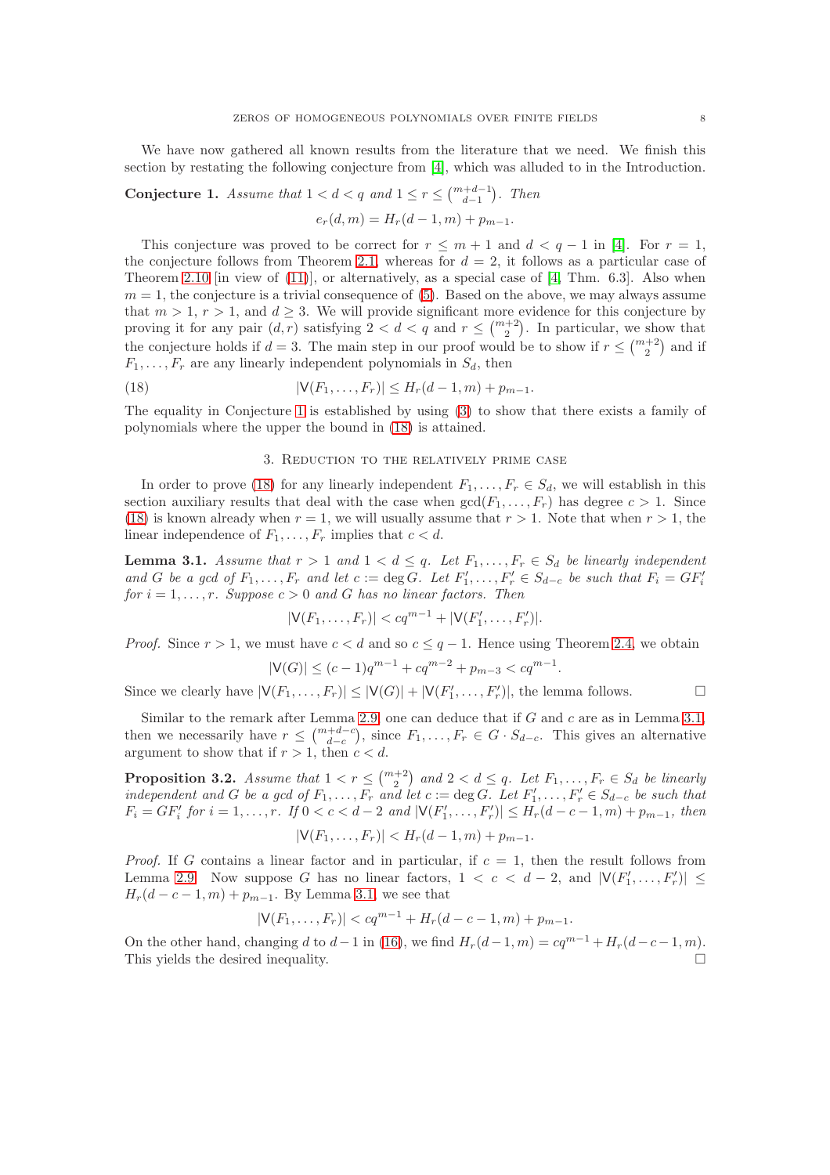We have now gathered all known results from the literature that we need. We finish this section by restating the following conjecture from [\[4\]](#page-14-6), which was alluded to in the Introduction.

<span id="page-7-0"></span>Conjecture 1. Assume that  $1 < d < q$  and  $1 \le r \le {m+d-1 \choose d-1}$ . Then

$$
e_r(d, m) = H_r(d - 1, m) + p_{m-1}.
$$

This conjecture was proved to be correct for  $r \leq m+1$  and  $d < q-1$  in [\[4\]](#page-14-6). For  $r = 1$ , the conjecture follows from Theorem [2.1,](#page-3-1) whereas for  $d = 2$ , it follows as a particular case of Theorem [2.10](#page-6-0) [in view of  $(11)$ ], or alternatively, as a special case of [\[4,](#page-14-6) Thm. 6.3]. Also when  $m = 1$ , the conjecture is a trivial consequence of [\(5\)](#page-1-2). Based on the above, we may always assume that  $m > 1$ ,  $r > 1$ , and  $d \geq 3$ . We will provide significant more evidence for this conjecture by proving it for any pair  $(d, r)$  satisfying  $2 < d < q$  and  $r \leq {m+2 \choose 2}$ . In particular, we show that the conjecture holds if  $d = 3$ . The main step in our proof would be to show if  $r \leq {m+2 \choose 2}$  and if  $F_1, \ldots, F_r$  are any linearly independent polynomials in  $S_d$ , then

(18) 
$$
|\mathsf{V}(F_1,\ldots,F_r)| \leq H_r(d-1,m) + p_{m-1}.
$$

The equality in Conjecture [1](#page-7-0) is established by using [\(3\)](#page-1-1) to show that there exists a family of polynomials where the upper the bound in [\(18\)](#page-7-1) is attained.

## <span id="page-7-1"></span>3. Reduction to the relatively prime case

In order to prove [\(18\)](#page-7-1) for any linearly independent  $F_1, \ldots, F_r \in S_d$ , we will establish in this section auxiliary results that deal with the case when  $gcd(F_1, \ldots, F_r)$  has degree  $c > 1$ . Since [\(18\)](#page-7-1) is known already when  $r = 1$ , we will usually assume that  $r > 1$ . Note that when  $r > 1$ , the linear independence of  $F_1, \ldots, F_r$  implies that  $c < d$ .

<span id="page-7-2"></span>**Lemma 3.1.** Assume that  $r > 1$  and  $1 < d \leq q$ . Let  $F_1, \ldots, F_r \in S_d$  be linearly independent and G be a gcd of  $F_1, \ldots, F_r$  and let  $c := \deg G$ . Let  $F'_1, \ldots, F'_r \in S_{d-c}$  be such that  $F_i = GF'_i$ for  $i = 1, \ldots, r$ . Suppose  $c > 0$  and G has no linear factors. Then

$$
|V(F_1,\ldots,F_r)| < cq^{m-1} + |V(F'_1,\ldots,F'_r)|.
$$

*Proof.* Since  $r > 1$ , we must have  $c < d$  and so  $c \leq q - 1$ . Hence using Theorem [2.4,](#page-4-2) we obtain

$$
|\mathsf{V}(G)| \le (c-1)q^{m-1} + cq^{m-2} + p_{m-3} < cq^{m-1}.
$$

Since we clearly have  $|\mathsf{V}(F_1,\ldots,F_r)| \leq |\mathsf{V}(G)| + |\mathsf{V}(F'_1,\ldots,F'_r)|$ , the lemma follows.

Similar to the remark after Lemma [2.9,](#page-6-2) one can deduce that if  $G$  and  $c$  are as in Lemma [3.1,](#page-7-2) then we necessarily have  $r \leq {m+d-c \choose d-c}$ , since  $F_1, \ldots, F_r \in G \cdot S_{d-c}$ . This gives an alternative argument to show that if  $r > 1$ , then  $c < d$ .

<span id="page-7-3"></span>**Proposition 3.2.** Assume that  $1 < r \leq {m+2 \choose 2}$  and  $2 < d \leq q$ . Let  $F_1, \ldots, F_r \in S_d$  be linearly independent and G be a gcd of  $F_1, \ldots, F_r$  and let  $c := \deg G$ . Let  $F'_1, \ldots, F'_r \in S_{d-c}$  be such that  $F_i = GF'_i$  for  $i = 1, ..., r$ . If  $0 < c < d-2$  and  $|\mathsf{V}(F'_1, ..., F'_r)| \leq H_r(d-c-1, m) + p_{m-1}$ , then

$$
|\mathsf{V}(F_1,\ldots,F_r)| < H_r(d-1,m) + p_{m-1}.
$$

*Proof.* If G contains a linear factor and in particular, if  $c = 1$ , then the result follows from Lemma [2.9.](#page-6-2) Now suppose G has no linear factors,  $1 < c < d-2$ , and  $|\mathsf{V}(F'_1,\ldots,F'_r)| \leq$  $H_r(d-c-1,m) + p_{m-1}$ . By Lemma [3.1,](#page-7-2) we see that

$$
|V(F_1,\ldots,F_r)| < cq^{m-1} + H_r(d-c-1,m) + p_{m-1}.
$$

On the other hand, changing d to  $d-1$  in [\(16\)](#page-6-3), we find  $H_r(d-1,m) = cq^{m-1} + H_r(d-c-1,m)$ . This yields the desired inequality.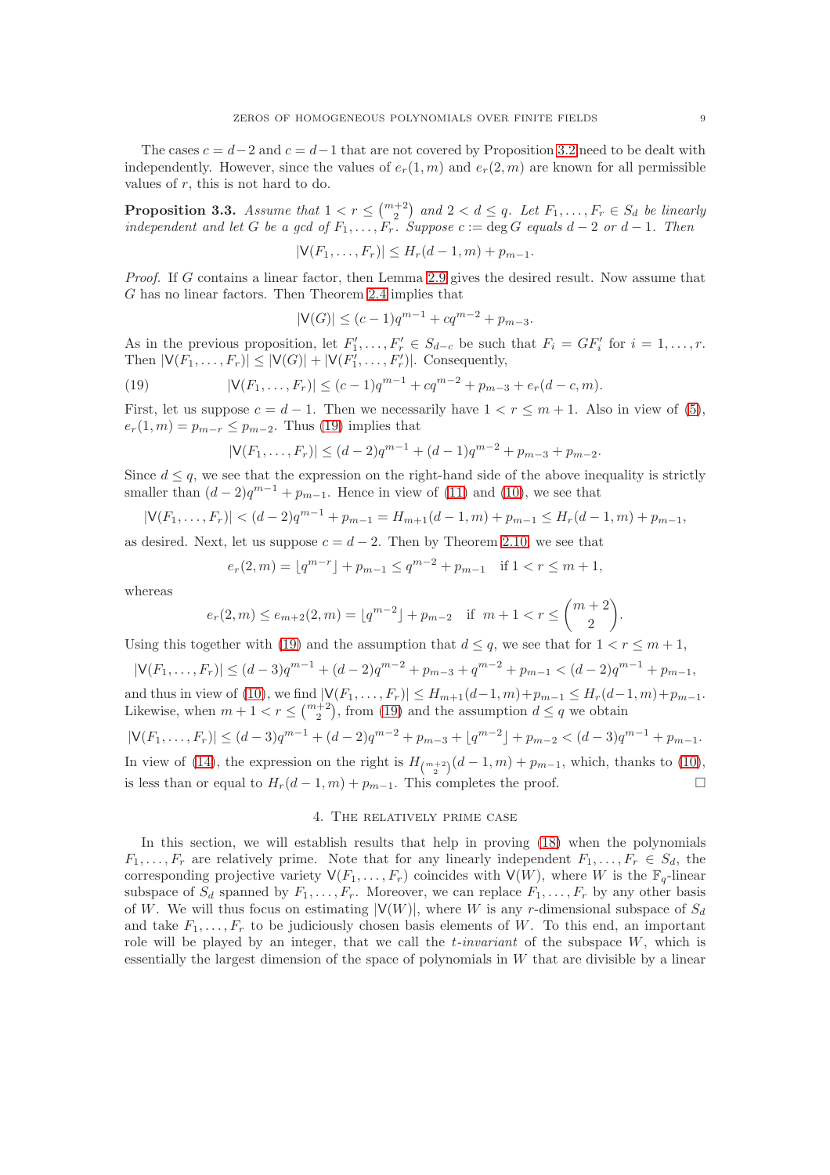The cases  $c = d-2$  and  $c = d-1$  that are not covered by Proposition [3.2](#page-7-3) need to be dealt with independently. However, since the values of  $e_r(1, m)$  and  $e_r(2, m)$  are known for all permissible values of  $r$ , this is not hard to do.

<span id="page-8-1"></span>**Proposition 3.3.** Assume that  $1 < r \leq {m+2 \choose 2}$  and  $2 < d \leq q$ . Let  $F_1, \ldots, F_r \in S_d$  be linearly independent and let G be a gcd of  $F_1, \ldots, F_r$ . Suppose  $c := \deg G$  equals  $d - 2$  or  $d - 1$ . Then

$$
|\mathsf{V}(F_1,\ldots,F_r)| \leq H_r(d-1,m) + p_{m-1}.
$$

Proof. If G contains a linear factor, then Lemma [2.9](#page-6-2) gives the desired result. Now assume that G has no linear factors. Then Theorem [2.4](#page-4-2) implies that

$$
|\mathsf{V}(G)| \le (c-1)q^{m-1} + cq^{m-2} + p_{m-3}.
$$

As in the previous proposition, let  $F'_1, \ldots, F'_r \in S_{d-c}$  be such that  $F_i = GF'_i$  for  $i = 1, \ldots, r$ . Then  $|V(F_1,\ldots,F_r)| \leq |V(G)| + |V(F_1^{\gamma},\ldots,F_r^{\gamma})|$ . Consequently,

(19) 
$$
|\mathsf{V}(F_1,\ldots,F_r)| \le (c-1)q^{m-1} + cq^{m-2} + p_{m-3} + e_r(d-c,m).
$$

First, let us suppose  $c = d - 1$ . Then we necessarily have  $1 < r \leq m + 1$ . Also in view of [\(5\)](#page-1-2),  $e_r(1, m) = p_{m-r} \leq p_{m-2}$ . Thus [\(19\)](#page-8-0) implies that

<span id="page-8-0"></span>
$$
|\mathsf{V}(F_1,\ldots,F_r)| \le (d-2)q^{m-1} + (d-1)q^{m-2} + p_{m-3} + p_{m-2}.
$$

Since  $d \leq q$ , we see that the expression on the right-hand side of the above inequality is strictly smaller than  $(d-2)q^{m-1} + p_{m-1}$ . Hence in view of [\(11\)](#page-5-3) and [\(10\)](#page-5-4), we see that

$$
|\mathsf{V}(F_1,\ldots,F_r)| < (d-2)q^{m-1} + p_{m-1} = H_{m+1}(d-1,m) + p_{m-1} \leq H_r(d-1,m) + p_{m-1},
$$

as desired. Next, let us suppose  $c = d - 2$ . Then by Theorem [2.10,](#page-6-0) we see that

$$
e_r(2,m) = \lfloor q^{m-r} \rfloor + p_{m-1} \le q^{m-2} + p_{m-1} \quad \text{if } 1 < r \le m+1,
$$

whereas

$$
e_r(2,m) \le e_{m+2}(2,m) = \lfloor q^{m-2} \rfloor + p_{m-2}
$$
 if  $m+1 < r \le {m+2 \choose 2}$ 

Using this together with [\(19\)](#page-8-0) and the assumption that  $d \leq q$ , we see that for  $1 < r \leq m+1$ ,

$$
|\mathsf{V}(F_1,\ldots,F_r)| \le (d-3)q^{m-1} + (d-2)q^{m-2} + p_{m-3} + q^{m-2} + p_{m-1} < (d-2)q^{m-1} + p_{m-1},
$$
\nand thus in view of (10), we find  $|\mathsf{V}(F_1,\ldots,F_r)| \le H_{m+1}(d-1,m) + p_{m-1} \le H_r(d-1,m) + p_{m-1}.$   
\nLikewise, when  $m+1 < r \le \binom{m+2}{2}$ , from (19) and the assumption  $d \le q$  we obtain

$$
|\mathsf{V}(F_1,\ldots,F_r)| \le (d-3)q^{m-1} + (d-2)q^{m-2} + p_{m-3} + \lfloor q^{m-2} \rfloor + p_{m-2} < (d-3)q^{m-1} + p_{m-1}.
$$
\nIn view of (14), the expression on the right is  $H_{\binom{m+2}{2}}(d-1,m) + p_{m-1}$ , which, thanks to (10),

 $(14)$ , the expression on the right is less than or equal to  $H_r(d-1,m) + p_{m-1}$ . This completes the proof.

## 4. The relatively prime case

In this section, we will establish results that help in proving [\(18\)](#page-7-1) when the polynomials  $F_1, \ldots, F_r$  are relatively prime. Note that for any linearly independent  $F_1, \ldots, F_r \in S_d$ , the corresponding projective variety  $V(F_1, \ldots, F_r)$  coincides with  $V(W)$ , where W is the  $\mathbb{F}_q$ -linear subspace of  $S_d$  spanned by  $F_1, \ldots, F_r$ . Moreover, we can replace  $F_1, \ldots, F_r$  by any other basis of W. We will thus focus on estimating  $|V(W)|$ , where W is any r-dimensional subspace of  $S_d$ and take  $F_1, \ldots, F_r$  to be judiciously chosen basis elements of W. To this end, an important role will be played by an integer, that we call the  $t$ -invariant of the subspace  $W$ , which is essentially the largest dimension of the space of polynomials in W that are divisible by a linear

.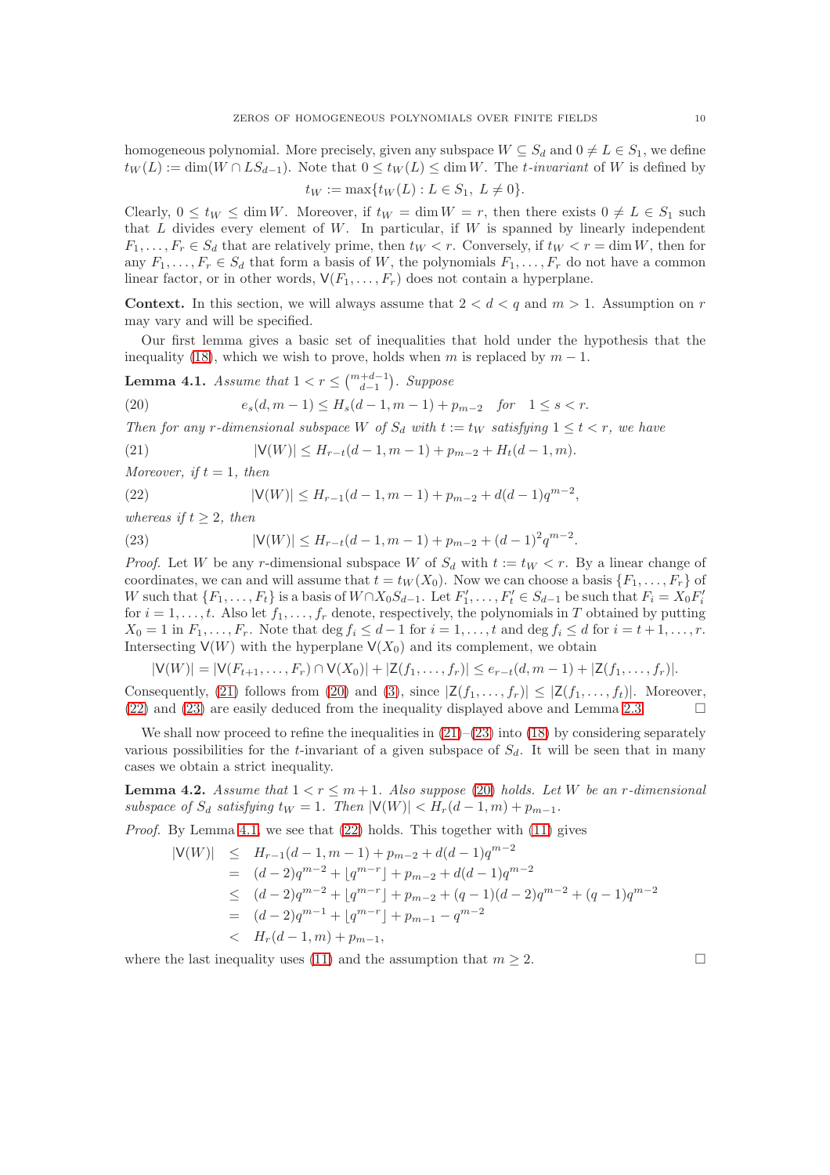homogeneous polynomial. More precisely, given any subspace  $W \subseteq S_d$  and  $0 \neq L \in S_1$ , we define  $t_W(L) := \dim(W \cap LS_{d-1})$ . Note that  $0 \leq t_W(L) \leq \dim W$ . The t-invariant of W is defined by

$$
t_W := \max\{t_W(L) : L \in S_1, \ L \neq 0\}.
$$

Clearly,  $0 \le t_W \le \dim W$ . Moreover, if  $t_W = \dim W = r$ , then there exists  $0 \ne L \in S_1$  such that  $L$  divides every element of  $W$ . In particular, if  $W$  is spanned by linearly independent  $F_1, \ldots, F_r \in S_d$  that are relatively prime, then  $t_W < r$ . Conversely, if  $t_W < r = \dim W$ , then for any  $F_1, \ldots, F_r \in S_d$  that form a basis of W, the polynomials  $F_1, \ldots, F_r$  do not have a common linear factor, or in other words,  $V(F_1, \ldots, F_r)$  does not contain a hyperplane.

**Context.** In this section, we will always assume that  $2 < d < q$  and  $m > 1$ . Assumption on r may vary and will be specified.

Our first lemma gives a basic set of inequalities that hold under the hypothesis that the inequality [\(18\)](#page-7-1), which we wish to prove, holds when m is replaced by  $m - 1$ .

<span id="page-9-4"></span>**Lemma 4.1.** Assume that  $1 < r \leq {m+d-1 \choose d-1}$ . Suppose

<span id="page-9-1"></span>(20) 
$$
e_s(d, m-1) \le H_s(d-1, m-1) + p_{m-2} \quad \text{for} \quad 1 \le s < r.
$$

Then for any r-dimensional subspace W of  $S_d$  with  $t := t_W$  satisfying  $1 \le t < r$ , we have

<span id="page-9-0"></span>(21) 
$$
|\mathsf{V}(W)| \leq H_{r-t}(d-1,m-1) + p_{m-2} + H_t(d-1,m).
$$

Moreover, if  $t = 1$ , then

<span id="page-9-2"></span>(22) 
$$
|V(W)| \le H_{r-1}(d-1,m-1) + p_{m-2} + d(d-1)q^{m-2},
$$

whereas if  $t \geq 2$ , then

<span id="page-9-3"></span>(23) 
$$
|\mathsf{V}(W)| \leq H_{r-t}(d-1,m-1) + p_{m-2} + (d-1)^2 q^{m-2}.
$$

*Proof.* Let W be any r-dimensional subspace W of  $S_d$  with  $t := tw < r$ . By a linear change of coordinates, we can and will assume that  $t = t_W(X_0)$ . Now we can choose a basis  $\{F_1, \ldots, F_r\}$  of W such that  $\{F_1,\ldots,F_t\}$  is a basis of  $W \cap X_0S_{d-1}$ . Let  $F'_1,\ldots,F'_t \in S_{d-1}$  be such that  $F_i = X_0F'_i$ for  $i = 1, \ldots, t$ . Also let  $f_1, \ldots, f_r$  denote, respectively, the polynomials in T obtained by putting  $X_0 = 1$  in  $F_1, \ldots, F_r$ . Note that  $\deg f_i \leq d-1$  for  $i = 1, \ldots, t$  and  $\deg f_i \leq d$  for  $i = t+1, \ldots, r$ . Intersecting  $V(W)$  with the hyperplane  $V(X_0)$  and its complement, we obtain

$$
|\mathsf{V}(W)| = |\mathsf{V}(F_{t+1},\ldots,F_r) \cap \mathsf{V}(X_0)| + |\mathsf{Z}(f_1,\ldots,f_r)| \le e_{r-t}(d,m-1) + |\mathsf{Z}(f_1,\ldots,f_r)|.
$$

Consequently, [\(21\)](#page-9-0) follows from [\(20\)](#page-9-1) and [\(3\)](#page-1-1), since  $|Z(f_1, \ldots, f_r)| \leq |Z(f_1, \ldots, f_t)|$ . Moreover,  $(22)$  and  $(23)$  are easily deduced from the inequality displayed above and Lemma [2.3.](#page-3-2)

We shall now proceed to refine the inequalities in  $(21)$ – $(23)$  into  $(18)$  by considering separately various possibilities for the t-invariant of a given subspace of  $S_d$ . It will be seen that in many cases we obtain a strict inequality.

<span id="page-9-5"></span>**Lemma 4.2.** Assume that  $1 < r \leq m+1$ . Also suppose [\(20\)](#page-9-1) holds. Let W be an r-dimensional subspace of  $S_d$  satisfying  $t_W = 1$ . Then  $|V(W)| < H_r(d-1,m) + p_{m-1}$ .

Proof. By Lemma [4.1,](#page-9-4) we see that  $(22)$  holds. This together with  $(11)$  gives

$$
|V(W)| \leq H_{r-1}(d-1, m-1) + p_{m-2} + d(d-1)q^{m-2}
$$
  
=  $(d-2)q^{m-2} + \lfloor q^{m-r} \rfloor + p_{m-2} + d(d-1)q^{m-2}$   
 $\leq (d-2)q^{m-2} + \lfloor q^{m-r} \rfloor + p_{m-2} + (q-1)(d-2)q^{m-2} + (q-1)q^{m-2}$   
=  $(d-2)q^{m-1} + \lfloor q^{m-r} \rfloor + p_{m-1} - q^{m-2}$   
 $\leq H_r(d-1, m) + p_{m-1},$ 

where the last inequality uses [\(11\)](#page-5-3) and the assumption that  $m \geq 2$ .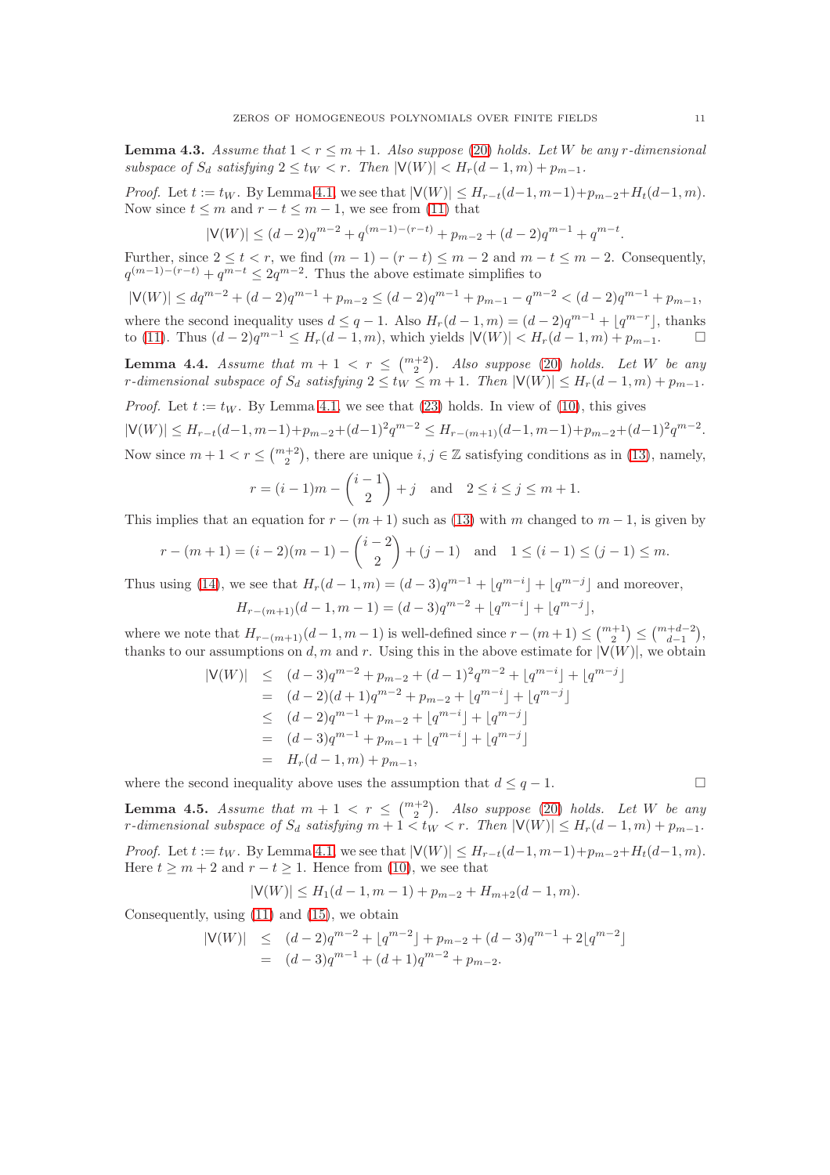<span id="page-10-0"></span>**Lemma 4.3.** Assume that  $1 < r \leq m + 1$ . Also suppose [\(20\)](#page-9-1) holds. Let W be any r-dimensional subspace of  $S_d$  satisfying  $2 \le t_W < r$ . Then  $|V(W)| < H_r(d-1,m) + p_{m-1}$ .

*Proof.* Let  $t := t_W$ . By Lemma [4.1,](#page-9-4) we see that  $|V(W)| \leq H_{r-t}(d-1, m-1)+p_{m-2}+H_t(d-1, m)$ . Now since  $t \leq m$  and  $r - t \leq m - 1$ , we see from [\(11\)](#page-5-3) that

$$
|\mathsf{V}(W)| \le (d-2)q^{m-2} + q^{(m-1)-(r-t)} + p_{m-2} + (d-2)q^{m-1} + q^{m-t}.
$$

Further, since  $2 \le t < r$ , we find  $(m-1)-(r-t) \le m-2$  and  $m-t \le m-2$ . Consequently,  $q^{(m-1)-(r-t)}+q^{m-t}\leq 2q^{m-2}$ . Thus the above estimate simplifies to

 $|V(W)| \le dq^{m-2} + (d-2)q^{m-1} + p_{m-2} \le (d-2)q^{m-1} + p_{m-1} - q^{m-2} < (d-2)q^{m-1} + p_{m-1}$ where the second inequality uses  $d \leq q - 1$ . Also  $H_r(d-1,m) = (d-2)q^{m-1} + \lfloor q^{m-r} \rfloor$ , thanks to [\(11\)](#page-5-3). Thus  $(d-2)q^{m-1} \leq H_r(d-1,m)$ , which yields  $|\mathsf{V}(W)| < H_r(d-1,m) + p_{m-1}$ . □

<span id="page-10-1"></span>**Lemma 4.4.** Assume that  $m + 1 < r \leq {m+2 \choose 2}$ . Also suppose [\(20\)](#page-9-1) holds. Let W be any r-dimensional subspace of  $S_d$  satisfying  $2 \le t_W \le m + 1$ . Then  $|\mathsf{V}(W)| \le H_r(d-1,m) + p_{m-1}$ .

*Proof.* Let  $t := t_W$ . By Lemma [4.1,](#page-9-4) we see that [\(23\)](#page-9-3) holds. In view of [\(10\)](#page-5-4), this gives  $|\mathsf{V}(W)| \leq H_{r-t}(d-1,m-1) + p_{m-2} + (d-1)^2 q^{m-2} \leq H_{r-(m+1)}(d-1,m-1) + p_{m-2} + (d-1)^2 q^{m-2}.$ Now since  $m+1 < r \leq {m+2 \choose 2}$ , there are unique  $i, j \in \mathbb{Z}$  satisfying conditions as in [\(13\)](#page-5-0), namely,

$$
r = (i-1)m - {i-1 \choose 2} + j \text{ and } 2 \le i \le j \le m+1.
$$

This implies that an equation for  $r - (m + 1)$  such as [\(13\)](#page-5-0) with m changed to  $m - 1$ , is given by

$$
r - (m+1) = (i-2)(m-1) - {i-2 \choose 2} + (j-1) \text{ and } 1 \le (i-1) \le (j-1) \le m.
$$

Thus using [\(14\)](#page-5-2), we see that  $H_r(d-1,m) = (d-3)q^{m-1} + \lfloor q^{m-i} \rfloor + \lfloor q^{m-j} \rfloor$  and moreover,  $H_{r-(m+1)}(d-1,m-1) = (d-3)q^{m-2} + \lfloor q^{m-i} \rfloor + \lfloor q^{m-j} \rfloor,$ 

where we note that  $H_{r-(m+1)}(d-1,m-1)$  is well-defined since  $r-(m+1) \leq {m+1 \choose 2} \leq {m+d-2 \choose d-1}$ , thanks to our assumptions on d, m and r. Using this in the above estimate for  $|\mathsf{V}(W)|$ , we obtain

$$
|\mathsf{V}(W)| \leq (d-3)q^{m-2} + p_{m-2} + (d-1)^2 q^{m-2} + \lfloor q^{m-i} \rfloor + \lfloor q^{m-j} \rfloor
$$
  
\n
$$
= (d-2)(d+1)q^{m-2} + p_{m-2} + \lfloor q^{m-i} \rfloor + \lfloor q^{m-j} \rfloor
$$
  
\n
$$
\leq (d-2)q^{m-1} + p_{m-2} + \lfloor q^{m-i} \rfloor + \lfloor q^{m-j} \rfloor
$$
  
\n
$$
= (d-3)q^{m-1} + p_{m-1} + \lfloor q^{m-i} \rfloor + \lfloor q^{m-j} \rfloor
$$
  
\n
$$
= H_r(d-1,m) + p_{m-1},
$$

where the second inequality above uses the assumption that  $d \leq q-1$ .

<span id="page-10-2"></span>**Lemma 4.5.** Assume that  $m + 1 < r \leq {m+2 \choose 2}$ . Also suppose [\(20\)](#page-9-1) holds. Let W be any r-dimensional subspace of  $S_d$  satisfying  $m + 1 < t_W < r$ . Then  $|\mathsf{V}(W)| \leq H_r(d-1,m) + p_{m-1}$ .

*Proof.* Let  $t := t_W$ . By Lemma [4.1,](#page-9-4) we see that  $|V(W)| \leq H_{r-t}(d-1, m-1)+p_{m-2}+H_t(d-1, m)$ . Here  $t \ge m + 2$  and  $r - t \ge 1$ . Hence from [\(10\)](#page-5-4), we see that

$$
|\mathsf{V}(W)| \le H_1(d-1, m-1) + p_{m-2} + H_{m+2}(d-1, m).
$$

Consequently, using [\(11\)](#page-5-3) and [\(15\)](#page-5-5), we obtain

$$
|\mathsf{V}(W)| \le (d-2)q^{m-2} + \lfloor q^{m-2} \rfloor + p_{m-2} + (d-3)q^{m-1} + 2\lfloor q^{m-2} \rfloor
$$
  
=  $(d-3)q^{m-1} + (d+1)q^{m-2} + p_{m-2}$ .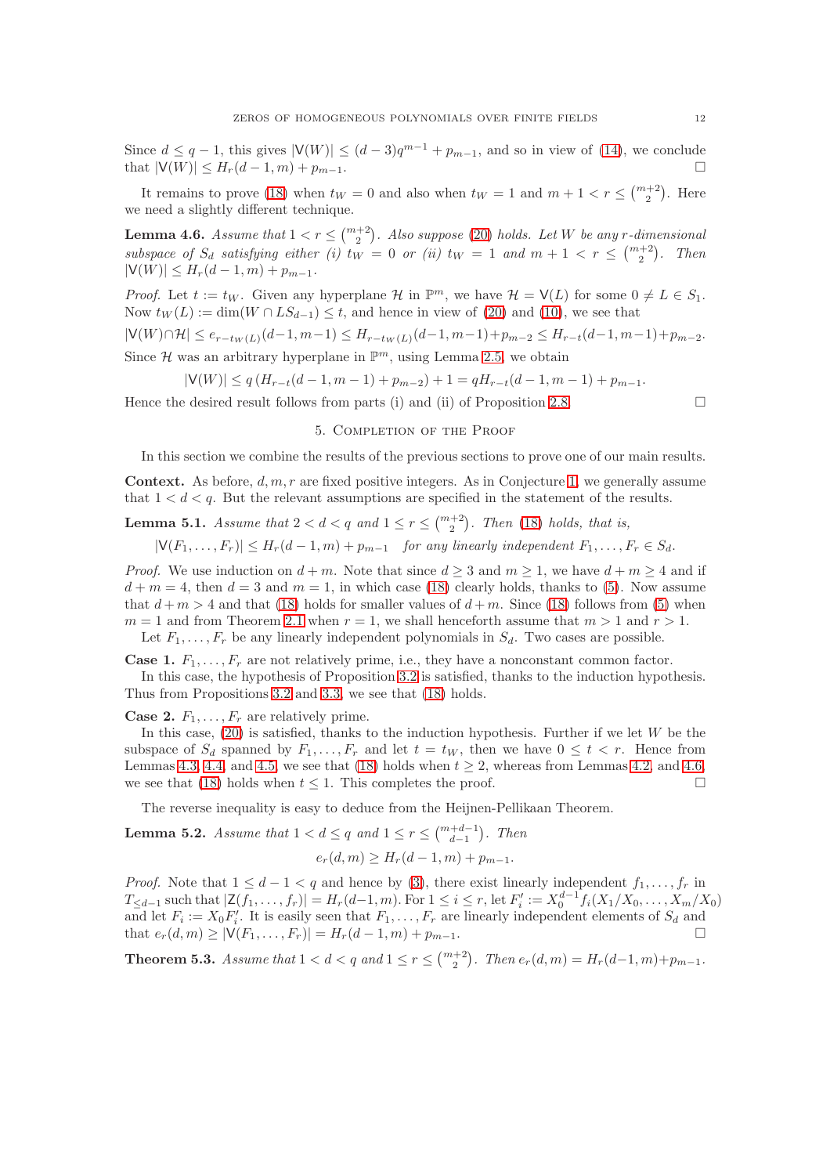Since  $d \leq q-1$ , this gives  $|V(W)| \leq (d-3)q^{m-1} + p_{m-1}$ , and so in view of [\(14\)](#page-5-2), we conclude that  $|V(W)| \leq H_r(d-1,m) + p_{m-1}$ .

It remains to prove [\(18\)](#page-7-1) when  $t_W = 0$  and also when  $t_W = 1$  and  $m + 1 < r \leq {m+2 \choose 2}$ . Here we need a slightly different technique.

<span id="page-11-1"></span>**Lemma 4.6.** Assume that  $1 < r \leq {m+2 \choose 2}$ . Also suppose [\(20\)](#page-9-1) holds. Let W be any r-dimensional subspace of  $S_d$  satisfying either (i)  $t_W = 0$  or (ii)  $t_W = 1$  and  $m + 1 < r \leq {m+2 \choose 2}$ . Then  $|V(W)| \leq H_r(d-1,m) + p_{m-1}.$ 

*Proof.* Let  $t := t_W$ . Given any hyperplane  $\mathcal{H}$  in  $\mathbb{P}^m$ , we have  $\mathcal{H} = V(L)$  for some  $0 \neq L \in S_1$ . Now  $t_W(L) := \dim(W \cap LS_{d-1}) \leq t$ , and hence in view of [\(20\)](#page-9-1) and [\(10\)](#page-5-4), we see that

$$
|\mathsf{V}(W) \cap \mathcal{H}| \leq e_{r-t_W(L)}(d-1,m-1) \leq H_{r-t_W(L)}(d-1,m-1) + p_{m-2} \leq H_{r-t}(d-1,m-1) + p_{m-2}.
$$

Since  $\mathcal H$  was an arbitrary hyperplane in  $\mathbb P^m$ , using Lemma [2.5,](#page-4-3) we obtain

$$
|\mathsf{V}(W)| \le q(H_{r-t}(d-1,m-1)+p_{m-2})+1 = qH_{r-t}(d-1,m-1)+p_{m-1}.
$$

Hence the desired result follows from parts (i) and (ii) of Proposition [2.8.](#page-6-4)  $\Box$ 

## 5. Completion of the Proof

In this section we combine the results of the previous sections to prove one of our main results.

**Context.** As before,  $d, m, r$  are fixed positive integers. As in Conjecture [1,](#page-7-0) we generally assume that  $1 < d < q$ . But the relevant assumptions are specified in the statement of the results.

# <span id="page-11-2"></span>**Lemma 5.1.** Assume that  $2 < d < q$  and  $1 \leq r \leq {m+2 \choose 2}$ . Then [\(18\)](#page-7-1) holds, that is,

 $|V(F_1, \ldots, F_r)| \leq H_r(d-1,m) + p_{m-1}$  for any linearly independent  $F_1, \ldots, F_r \in S_d$ .

*Proof.* We use induction on  $d + m$ . Note that since  $d \geq 3$  and  $m \geq 1$ , we have  $d + m \geq 4$  and if  $d + m = 4$ , then  $d = 3$  and  $m = 1$ , in which case [\(18\)](#page-7-1) clearly holds, thanks to [\(5\)](#page-1-2). Now assume that  $d+m > 4$  and that [\(18\)](#page-7-1) holds for smaller values of  $d+m$ . Since (18) follows from [\(5\)](#page-1-2) when  $m = 1$  and from Theorem [2.1](#page-3-1) when  $r = 1$ , we shall henceforth assume that  $m > 1$  and  $r > 1$ .

Let  $F_1, \ldots, F_r$  be any linearly independent polynomials in  $S_d$ . Two cases are possible.

**Case 1.**  $F_1, \ldots, F_r$  are not relatively prime, i.e., they have a nonconstant common factor. In this case, the hypothesis of Proposition [3.2](#page-7-3) is satisfied, thanks to the induction hypothesis. Thus from Propositions [3.2](#page-7-3) and [3.3,](#page-8-1) we see that [\(18\)](#page-7-1) holds.

**Case 2.**  $F_1, \ldots, F_r$  are relatively prime.

In this case,  $(20)$  is satisfied, thanks to the induction hypothesis. Further if we let W be the subspace of  $S_d$  spanned by  $F_1, \ldots, F_r$  and let  $t = t_W$ , then we have  $0 \le t < r$ . Hence from Lemmas [4.3,](#page-10-0) [4.4,](#page-10-1) and [4.5,](#page-10-2) we see that [\(18\)](#page-7-1) holds when  $t \geq 2$ , whereas from Lemmas [4.2,](#page-9-5) and [4.6,](#page-11-1) we see that [\(18\)](#page-7-1) holds when  $t \leq 1$ . This completes the proof.

The reverse inequality is easy to deduce from the Heijnen-Pellikaan Theorem.

<span id="page-11-3"></span>**Lemma 5.2.** Assume that  $1 < d \leq q$  and  $1 \leq r \leq {m+d-1 \choose d-1}$ . Then

$$
e_r(d,m) \ge H_r(d-1,m) + p_{m-1}.
$$

*Proof.* Note that  $1 \leq d-1 < q$  and hence by [\(3\)](#page-1-1), there exist linearly independent  $f_1, \ldots, f_r$  in  $T_{\leq d-1}$  such that  $|\mathsf{Z}(f_1,\ldots,f_r)| = H_r(d-1,m)$ . For  $1 \leq i \leq r$ , let  $F'_i := X_0^{d-1} f_i(X_1/X_0,\ldots,X_m/X_0)$ and let  $F_i := X_0 F'_i$ . It is easily seen that  $F_1, \ldots, F_r$  are linearly independent elements of  $S_d$  and that  $e_r(d, m) \geq |\mathsf{V}(F_1, \ldots, F_r)| = H_r(d-1, m) + p_{m-1}.$ 

<span id="page-11-0"></span>**Theorem 5.3.** Assume that  $1 < d < q$  and  $1 \le r \le {\binom{m+2}{2}}$ . Then  $e_r(d,m) = H_r(d-1,m)+p_{m-1}$ .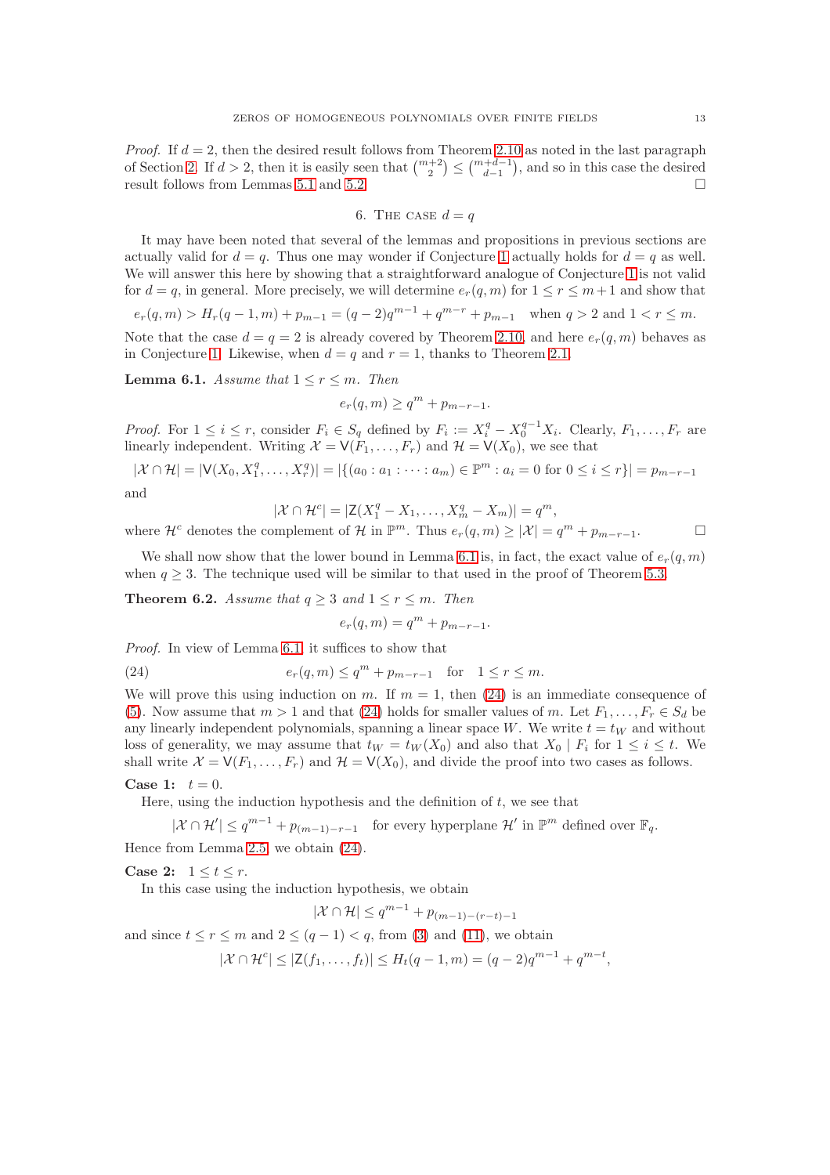*Proof.* If  $d = 2$ , then the desired result follows from Theorem [2.10](#page-6-0) as noted in the last paragraph of Section [2.](#page-2-1) If  $d > 2$ , then it is easily seen that  $\binom{m+2}{2} \leq \binom{m+d-1}{d-1}$ , and so in this case the desired result follows from Lemmas [5.1](#page-11-2) and [5.2.](#page-11-3)

6. THE CASE 
$$
d = q
$$

It may have been noted that several of the lemmas and propositions in previous sections are actually valid for  $d = q$ . Thus one may wonder if Conjecture [1](#page-7-0) actually holds for  $d = q$  as well. We will answer this here by showing that a straightforward analogue of Conjecture [1](#page-7-0) is not valid for  $d = q$ , in general. More precisely, we will determine  $e_r(q, m)$  for  $1 \le r \le m+1$  and show that

 $e_r(q,m) > H_r(q-1,m) + p_{m-1} = (q-2)q^{m-1} + q^{m-r} + p_{m-1}$  when  $q > 2$  and  $1 < r \leq m$ .

Note that the case  $d = q = 2$  is already covered by Theorem [2.10,](#page-6-0) and here  $e_r(q, m)$  behaves as in Conjecture [1.](#page-7-0) Likewise, when  $d = q$  and  $r = 1$ , thanks to Theorem [2.1.](#page-3-1)

<span id="page-12-1"></span>**Lemma 6.1.** Assume that  $1 \leq r \leq m$ . Then

$$
e_r(q,m) \ge q^m + p_{m-r-1}.
$$

*Proof.* For  $1 \leq i \leq r$ , consider  $F_i \in S_q$  defined by  $F_i := X_i^q - X_0^{q-1} X_i$ . Clearly,  $F_1, \ldots, F_r$  are linearly independent. Writing  $\mathcal{X} = \mathsf{V}(F_1, \ldots, F_r)$  and  $\mathcal{H} = \mathsf{V}(X_0)$ , we see that

 $|\mathcal{X} \cap \mathcal{H}| = |\mathsf{V}(X_0, X_1^q, \dots, X_r^q)| = |\{(a_0 : a_1 : \dots : a_m) \in \mathbb{P}^m : a_i = 0 \text{ for } 0 \le i \le r\}| = p_{m-r-1}$ and

$$
|\mathcal{X} \cap \mathcal{H}^c| = |\mathsf{Z}(X_1^q - X_1, \dots, X_m^q - X_m)| = q^m,
$$

where  $\mathcal{H}^c$  denotes the complement of  $\mathcal{H}$  in  $\mathbb{P}^m$ . Thus  $e_r(q,m) \geq |\mathcal{X}| = q^m + p_{m-r-1}$ .

We shall now show that the lower bound in Lemma [6.1](#page-12-1) is, in fact, the exact value of  $e_r(q, m)$ when  $q \geq 3$ . The technique used will be similar to that used in the proof of Theorem [5.3.](#page-11-0)

<span id="page-12-0"></span>**Theorem 6.2.** Assume that  $q \geq 3$  and  $1 \leq r \leq m$ . Then

<span id="page-12-2"></span>
$$
e_r(q,m) = q^m + p_{m-r-1}.
$$

Proof. In view of Lemma [6.1,](#page-12-1) it suffices to show that

(24) 
$$
e_r(q,m) \le q^m + p_{m-r-1}
$$
 for  $1 \le r \le m$ .

We will prove this using induction on m. If  $m = 1$ , then [\(24\)](#page-12-2) is an immediate consequence of [\(5\)](#page-1-2). Now assume that  $m > 1$  and that [\(24\)](#page-12-2) holds for smaller values of m. Let  $F_1, \ldots, F_r \in S_d$  be any linearly independent polynomials, spanning a linear space W. We write  $t = t<sub>W</sub>$  and without loss of generality, we may assume that  $t_W = t_W(X_0)$  and also that  $X_0 | F_i$  for  $1 \leq i \leq t$ . We shall write  $\mathcal{X} = \mathsf{V}(F_1, \ldots, F_r)$  and  $\mathcal{H} = \mathsf{V}(X_0)$ , and divide the proof into two cases as follows.

Case 1:  $t = 0$ .

Here, using the induction hypothesis and the definition of  $t$ , we see that

 $|\mathcal{X} \cap \mathcal{H}'| \leq q^{m-1} + p_{(m-1)-r-1}$  for every hyperplane  $\mathcal{H}'$  in  $\mathbb{P}^m$  defined over  $\mathbb{F}_q$ . Hence from Lemma [2.5,](#page-4-3) we obtain [\(24\)](#page-12-2).

Case 2:  $1 \leq t \leq r$ .

In this case using the induction hypothesis, we obtain

$$
|\mathcal{X} \cap \mathcal{H}| \le q^{m-1} + p_{(m-1)-(r-t)-1}
$$

and since  $t \le r \le m$  and  $2 \le (q - 1) < q$ , from [\(3\)](#page-1-1) and [\(11\)](#page-5-3), we obtain

$$
|\mathcal{X} \cap \mathcal{H}^c| \le |\mathsf{Z}(f_1, \dots, f_t)| \le H_t(q-1, m) = (q-2)q^{m-1} + q^{m-t},
$$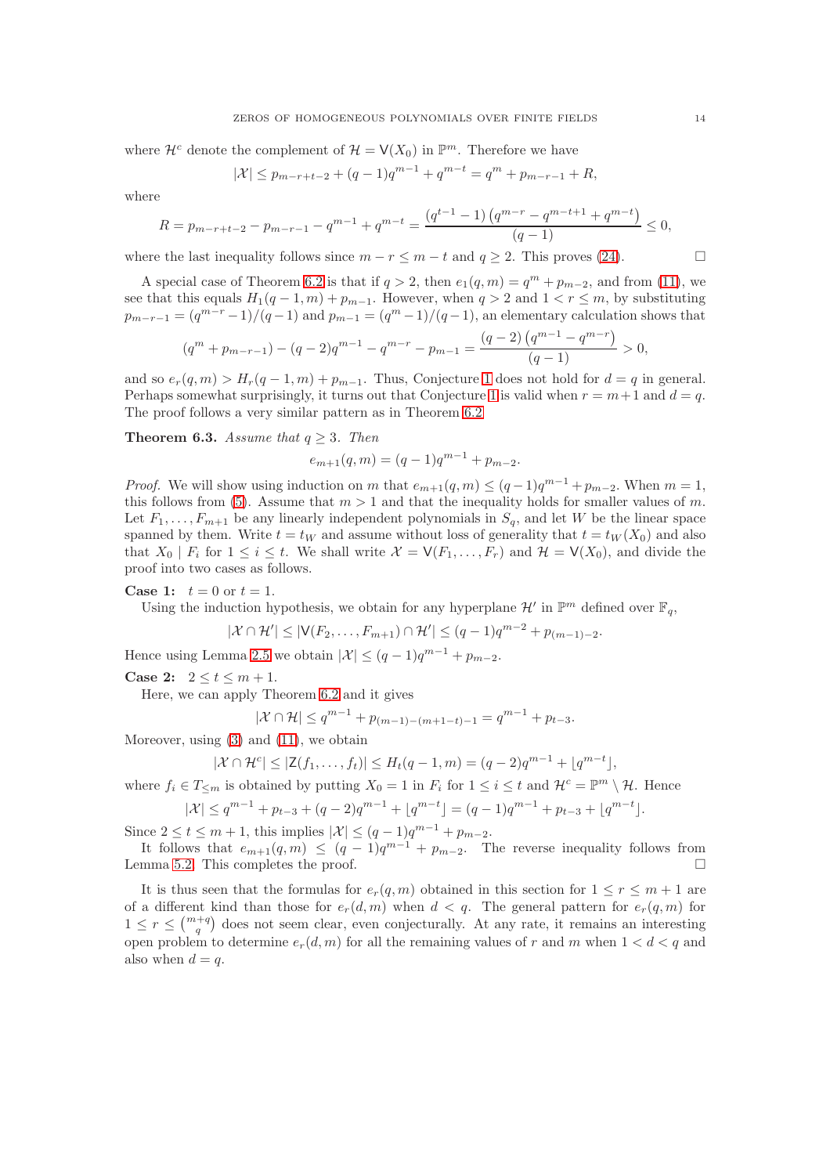where  $\mathcal{H}^c$  denote the complement of  $\mathcal{H} = \mathsf{V}(X_0)$  in  $\mathbb{P}^m$ . Therefore we have

$$
|\mathcal{X}| \le p_{m-r+t-2} + (q-1)q^{m-1} + q^{m-t} = q^m + p_{m-r-1} + R,
$$

where

$$
R = p_{m-r+t-2} - p_{m-r-1} - q^{m-1} + q^{m-t} = \frac{(q^{t-1} - 1) (q^{m-r} - q^{m-t+1} + q^{m-t})}{(q-1)} \le 0,
$$

where the last inequality follows since  $m - r \le m - t$  and  $q > 2$ . This proves [\(24\)](#page-12-2).

A special case of Theorem [6.2](#page-12-0) is that if  $q > 2$ , then  $e_1(q, m) = q^m + p_{m-2}$ , and from [\(11\)](#page-5-3), we see that this equals  $H_1(q-1,m) + p_{m-1}$ . However, when  $q > 2$  and  $1 < r \leq m$ , by substituting  $p_{m-r-1} = (q^{m-r}-1)/(q-1)$  and  $p_{m-1} = (q^m-1)/(q-1)$ , an elementary calculation shows that

$$
(qm + pm-r-1) - (q - 2)qm-1 - qm-r - pm-1 = \frac{(q - 2) (qm-1 - qm-r)}{(q - 1)} > 0,
$$

and so  $e_r(q, m) > H_r(q-1, m) + p_{m-1}$ . Thus, Conjecture [1](#page-7-0) does not hold for  $d = q$  in general. Perhaps somewhat surprisingly, it turns out that Conjecture [1](#page-7-0) is valid when  $r = m + 1$  and  $d = q$ . The proof follows a very similar pattern as in Theorem [6.2](#page-12-0)

<span id="page-13-0"></span>**Theorem 6.3.** Assume that  $q > 3$ . Then

$$
e_{m+1}(q,m) = (q-1)q^{m-1} + p_{m-2}.
$$

*Proof.* We will show using induction on m that  $e_{m+1}(q, m) \leq (q-1)q^{m-1} + p_{m-2}$ . When  $m = 1$ , this follows from [\(5\)](#page-1-2). Assume that  $m > 1$  and that the inequality holds for smaller values of m. Let  $F_1, \ldots, F_{m+1}$  be any linearly independent polynomials in  $S_q$ , and let W be the linear space spanned by them. Write  $t = tw$  and assume without loss of generality that  $t = tw(X_0)$  and also that  $X_0 \mid F_i$  for  $1 \leq i \leq t$ . We shall write  $\mathcal{X} = \mathsf{V}(F_1, \ldots, F_r)$  and  $\mathcal{H} = \mathsf{V}(X_0)$ , and divide the proof into two cases as follows.

**Case 1:**  $t = 0$  or  $t = 1$ .

Using the induction hypothesis, we obtain for any hyperplane  $\mathcal{H}'$  in  $\mathbb{P}^m$  defined over  $\mathbb{F}_q$ ,

$$
|\mathcal{X} \cap \mathcal{H}'| \leq |\mathsf{V}(F_2, \ldots, F_{m+1}) \cap \mathcal{H}'| \leq (q-1)q^{m-2} + p_{(m-1)-2}.
$$

Hence using Lemma [2.5](#page-4-3) we obtain  $|\mathcal{X}| \leq (q-1)q^{m-1} + p_{m-2}$ .

**Case 2:**  $2 \le t \le m + 1$ .

Here, we can apply Theorem [6.2](#page-12-0) and it gives

$$
|\mathcal{X} \cap \mathcal{H}| \le q^{m-1} + p_{(m-1)-(m+1-t)-1} = q^{m-1} + p_{t-3}.
$$

Moreover, using [\(3\)](#page-1-1) and [\(11\)](#page-5-3), we obtain

$$
|\mathcal{X} \cap \mathcal{H}^c| \le |\mathsf{Z}(f_1, \dots, f_t)| \le H_t(q-1, m) = (q-2)q^{m-1} + \lfloor q^{m-t} \rfloor,
$$

where  $f_i \in T_{\leq m}$  is obtained by putting  $X_0 = 1$  in  $F_i$  for  $1 \leq i \leq t$  and  $\mathcal{H}^c = \mathbb{P}^m \setminus \mathcal{H}$ . Hence

$$
|\mathcal{X}| \le q^{m-1} + p_{t-3} + (q-2)q^{m-1} + \lfloor q^{m-t} \rfloor = (q-1)q^{m-1} + p_{t-3} + \lfloor q^{m-t} \rfloor.
$$

Since  $2 \le t \le m+1$ , this implies  $|\mathcal{X}| \le (q-1)q^{m-1} + p_{m-2}$ .

It follows that  $e_{m+1}(q,m) \leq (q-1)q^{m-1} + p_{m-2}$ . The reverse inequality follows from Lemma [5.2.](#page-11-3) This completes the proof.

It is thus seen that the formulas for  $e_r(q, m)$  obtained in this section for  $1 \leq r \leq m+1$  are of a different kind than those for  $e_r(d, m)$  when  $d < q$ . The general pattern for  $e_r(q, m)$  for  $1 \leq r \leq {m+q \choose q}$  does not seem clear, even conjecturally. At any rate, it remains an interesting open problem to determine  $e_r(d, m)$  for all the remaining values of r and m when  $1 < d < q$  and also when  $d = q$ .